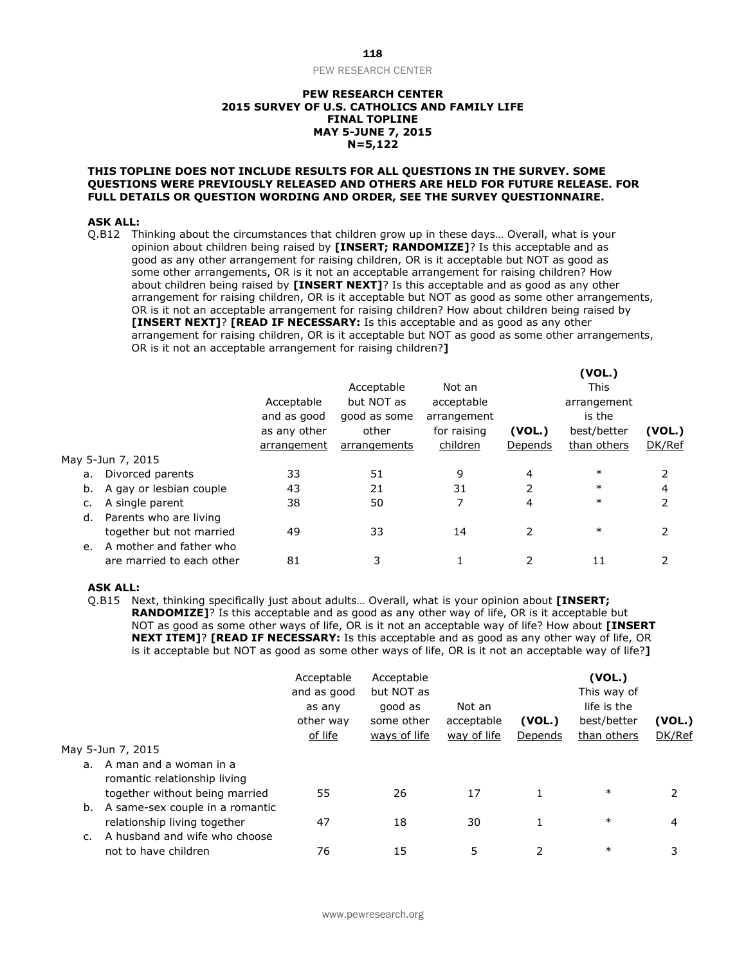#### **PEW RESEARCH CENTER 2015 SURVEY OF U.S. CATHOLICS AND FAMILY LIFE FINAL TOPLINE MAY 5-JUNE 7, 2015 N=5,122**

#### **THIS TOPLINE DOES NOT INCLUDE RESULTS FOR ALL QUESTIONS IN THE SURVEY. SOME QUESTIONS WERE PREVIOUSLY RELEASED AND OTHERS ARE HELD FOR FUTURE RELEASE. FOR FULL DETAILS OR QUESTION WORDING AND ORDER, SEE THE SURVEY QUESTIONNAIRE.**

#### **ASK ALL:**

Q.B12 Thinking about the circumstances that children grow up in these days… Overall, what is your opinion about children being raised by **[INSERT; RANDOMIZE]**? Is this acceptable and as good as any other arrangement for raising children, OR is it acceptable but NOT as good as some other arrangements, OR is it not an acceptable arrangement for raising children? How about children being raised by **[INSERT NEXT]**? Is this acceptable and as good as any other arrangement for raising children, OR is it acceptable but NOT as good as some other arrangements, OR is it not an acceptable arrangement for raising children? How about children being raised by **[INSERT NEXT]**? **[READ IF NECESSARY:** Is this acceptable and as good as any other arrangement for raising children, OR is it acceptable but NOT as good as some other arrangements, OR is it not an acceptable arrangement for raising children?**]**

|                               |              |              |             |         | (VOL.)      |        |
|-------------------------------|--------------|--------------|-------------|---------|-------------|--------|
|                               |              | Acceptable   | Not an      |         | This        |        |
|                               | Acceptable   | but NOT as   | acceptable  |         | arrangement |        |
|                               | and as good  | good as some | arrangement |         | is the      |        |
|                               | as any other | other        | for raising | (VOL.)  | best/better | (VOL.) |
|                               | arrangement  | arrangements | children    | Depends | than others | DK/Ref |
| May 5-Jun 7, 2015             |              |              |             |         |             |        |
| Divorced parents<br>a.        | 33           | 51           | 9           | 4       | $\ast$      |        |
| A gay or lesbian couple<br>b. | 43           | 21           | 31          | 2       | $\ast$      | 4      |
| A single parent               | 38           | 50           | 7           | 4       | $\ast$      | 2      |
| Parents who are living<br>d.  |              |              |             |         |             |        |
| together but not married      | 49           | 33           | 14          | 2       | $\ast$      | 2      |
| A mother and father who<br>e. |              |              |             |         |             |        |
| are married to each other     | 81           | 3            |             |         | 11          | 2      |
|                               |              |              |             |         |             |        |

#### **ASK ALL:**

Q.B15 Next, thinking specifically just about adults… Overall, what is your opinion about **[INSERT; RANDOMIZE]**? Is this acceptable and as good as any other way of life, OR is it acceptable but NOT as good as some other ways of life, OR is it not an acceptable way of life? How about **[INSERT NEXT ITEM]**? **[READ IF NECESSARY:** Is this acceptable and as good as any other way of life, OR is it acceptable but NOT as good as some other ways of life, OR is it not an acceptable way of life?**]** 

|    |                                                        | Acceptable<br>and as good<br>as any<br>other way<br>of life | Acceptable<br>but NOT as<br>good as<br>some other<br>ways of life | Not an<br>acceptable<br>way of life | (VOL.)<br>Depends | (VOL.)<br>This way of<br>life is the<br>best/better<br>than others | (VOL.)<br>DK/Ref |
|----|--------------------------------------------------------|-------------------------------------------------------------|-------------------------------------------------------------------|-------------------------------------|-------------------|--------------------------------------------------------------------|------------------|
|    | May 5-Jun 7, 2015                                      |                                                             |                                                                   |                                     |                   |                                                                    |                  |
| a. | A man and a woman in a<br>romantic relationship living |                                                             |                                                                   |                                     |                   |                                                                    |                  |
|    | together without being married                         | 55                                                          | 26                                                                | 17                                  | 1                 | $\ast$                                                             |                  |
| b. | A same-sex couple in a romantic                        |                                                             |                                                                   |                                     |                   |                                                                    |                  |
|    | relationship living together                           | 47                                                          | 18                                                                | 30                                  |                   | $\ast$                                                             | 4                |
|    | A husband and wife who choose<br>not to have children  | 76                                                          | 15                                                                | 5                                   | 2                 | $\ast$                                                             | 3                |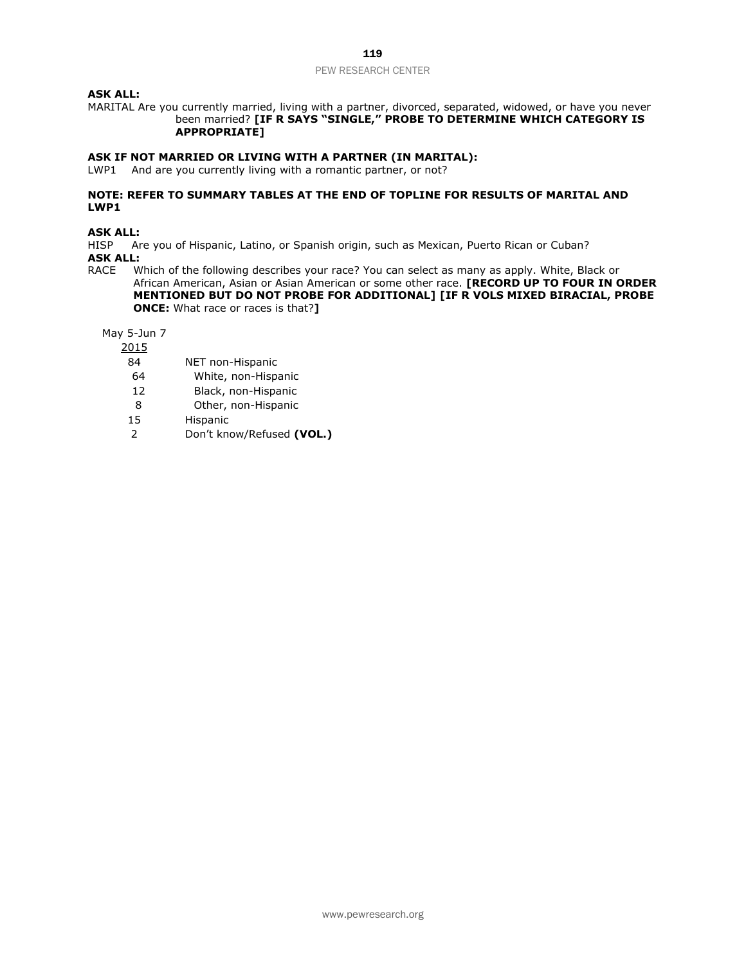# **ASK ALL:**

MARITAL Are you currently married, living with a partner, divorced, separated, widowed, or have you never been married? **[IF R SAYS "SINGLE," PROBE TO DETERMINE WHICH CATEGORY IS APPROPRIATE]** 

## **ASK IF NOT MARRIED OR LIVING WITH A PARTNER (IN MARITAL):**

LWP1 And are you currently living with a romantic partner, or not?

# **NOTE: REFER TO SUMMARY TABLES AT THE END OF TOPLINE FOR RESULTS OF MARITAL AND LWP1**

#### **ASK ALL:**

HISP Are you of Hispanic, Latino, or Spanish origin, such as Mexican, Puerto Rican or Cuban? **ASK ALL:**

RACE Which of the following describes your race? You can select as many as apply. White, Black or African American, Asian or Asian American or some other race. **[RECORD UP TO FOUR IN ORDER MENTIONED BUT DO NOT PROBE FOR ADDITIONAL] [IF R VOLS MIXED BIRACIAL, PROBE ONCE:** What race or races is that?**]**

May 5-Jun 7

- 84 NET non-Hispanic
- 64 White, non-Hispanic
- 12 Black, non-Hispanic
- 8 Other, non-Hispanic
- 15 Hispanic
- 2 Don't know/Refused **(VOL.)**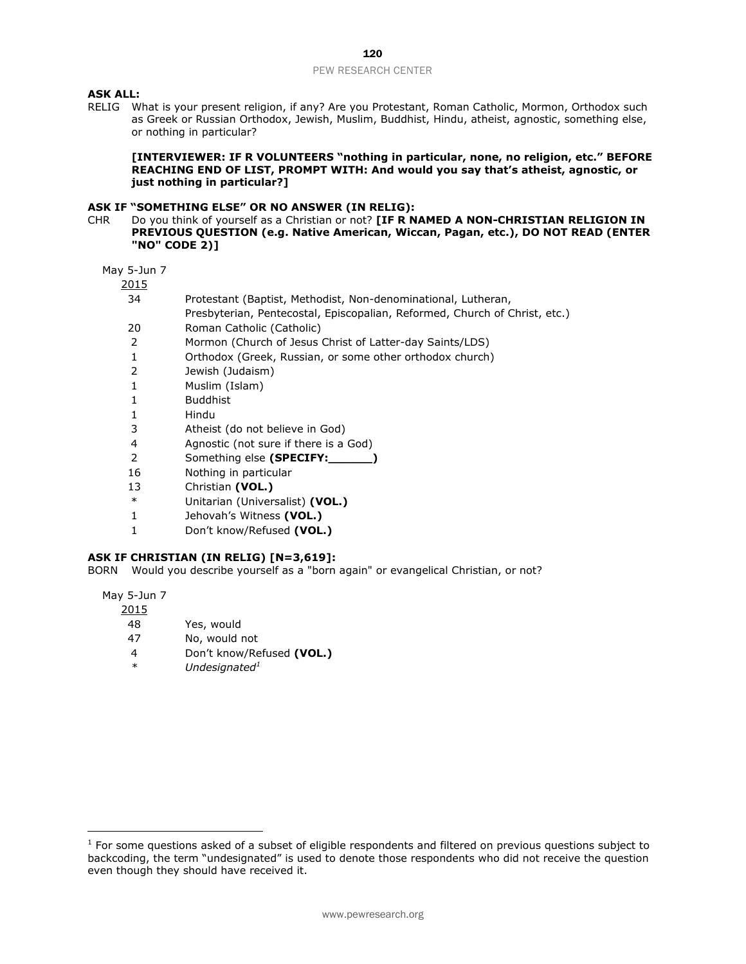## **ASK ALL:**

RELIG What is your present religion, if any? Are you Protestant, Roman Catholic, Mormon, Orthodox such as Greek or Russian Orthodox, Jewish, Muslim, Buddhist, Hindu, atheist, agnostic, something else, or nothing in particular?

**[INTERVIEWER: IF R VOLUNTEERS "nothing in particular, none, no religion, etc." BEFORE REACHING END OF LIST, PROMPT WITH: And would you say that's atheist, agnostic, or just nothing in particular?]**

#### **ASK IF "SOMETHING ELSE" OR NO ANSWER (IN RELIG):**

CHR Do you think of yourself as a Christian or not? **[IF R NAMED A NON-CHRISTIAN RELIGION IN PREVIOUS QUESTION (e.g. Native American, Wiccan, Pagan, etc.), DO NOT READ (ENTER "NO" CODE 2)]** 

May 5-Jun 7

2015

- 34 Protestant (Baptist, Methodist, Non-denominational, Lutheran,
	- Presbyterian, Pentecostal, Episcopalian, Reformed, Church of Christ, etc.)
- 20 Roman Catholic (Catholic)
- 2 Mormon (Church of Jesus Christ of Latter-day Saints/LDS)
- 1 Orthodox (Greek, Russian, or some other orthodox church)
- 2 Jewish (Judaism)
- 1 Muslim (Islam)
- 1 Buddhist
- 1 Hindu
- 3 Atheist (do not believe in God)
- 4 Agnostic (not sure if there is a God)
- 2 Something else **(SPECIFY:\_\_\_\_\_\_)**
- 16 Nothing in particular
- 13 Christian **(VOL.)**
- \* Unitarian (Universalist) **(VOL.)**
- 1 Jehovah's Witness **(VOL.)**
- 1 Don't know/Refused **(VOL.)**

#### **ASK IF CHRISTIAN (IN RELIG) [N=3,619]:**

BORN Would you describe yourself as a "born again" or evangelical Christian, or not?

May 5-Jun 7

| <u> 2015</u> |            |
|--------------|------------|
| 48           | Yes, would |

- 47 No, would not
- 4 Don't know/Refused **(VOL.)**
- *\* Undesignated<sup>1</sup>*

 $<sup>1</sup>$  For some questions asked of a subset of eligible respondents and filtered on previous questions subject to</sup> backcoding, the term "undesignated" is used to denote those respondents who did not receive the question even though they should have received it.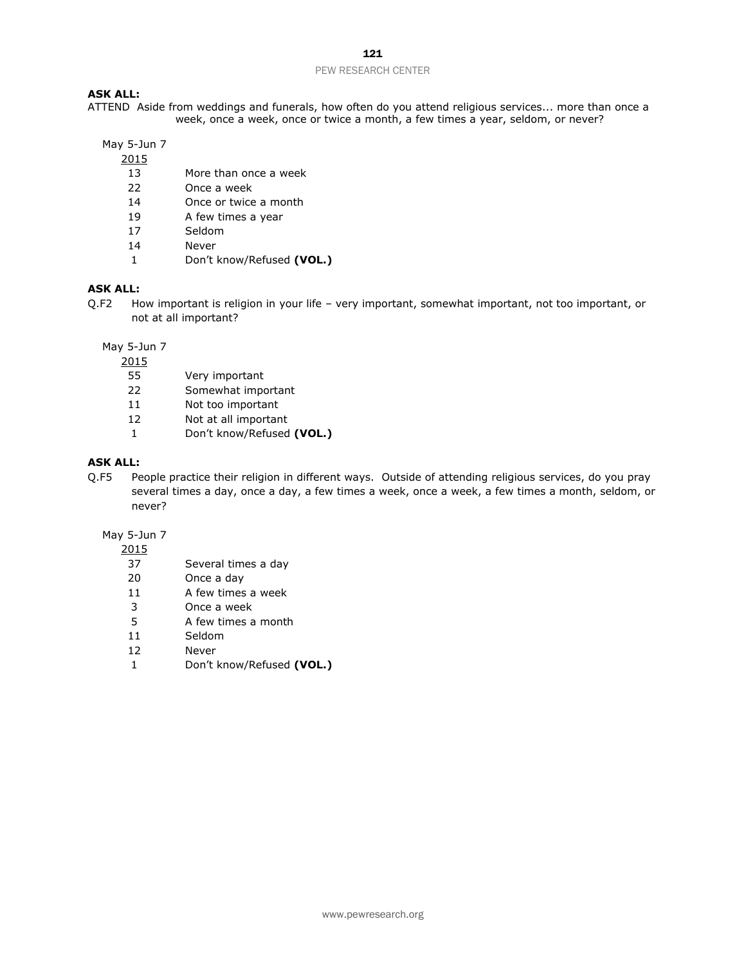#### **ASK ALL:**

ATTEND Aside from weddings and funerals, how often do you attend religious services... more than once a week, once a week, once or twice a month, a few times a year, seldom, or never?

# May 5-Jun 7

- More than once a week
- Once a week
- Once or twice a month
- A few times a year
- Seldom
- Never
- Don't know/Refused **(VOL.)**

## **ASK ALL:**

Q.F2 How important is religion in your life – very important, somewhat important, not too important, or not at all important?

May 5-Jun 7

- Very important
- Somewhat important
- Not too important
- Not at all important
- Don't know/Refused **(VOL.)**

# **ASK ALL:**

Q.F5 People practice their religion in different ways. Outside of attending religious services, do you pray several times a day, once a day, a few times a week, once a week, a few times a month, seldom, or never?

# May 5-Jun 7

- Several times a day
- Once a day
- A few times a week
- Once a week
- A few times a month
- Seldom
- Never
- Don't know/Refused **(VOL.)**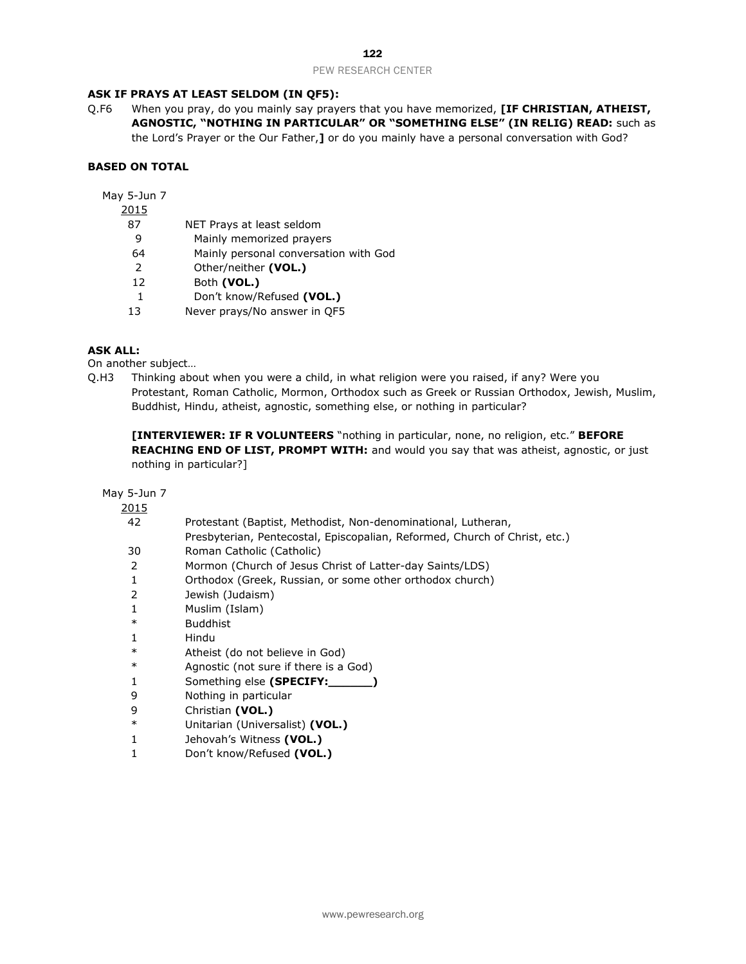## **ASK IF PRAYS AT LEAST SELDOM (IN QF5):**

Q.F6 When you pray, do you mainly say prayers that you have memorized, **[IF CHRISTIAN, ATHEIST, AGNOSTIC, "NOTHING IN PARTICULAR" OR "SOMETHING ELSE" (IN RELIG) READ:** such as the Lord's Prayer or the Our Father,**]** or do you mainly have a personal conversation with God?

# **BASED ON TOTAL**

May 5-Jun 7

- 2015
	- 87 NET Prays at least seldom
	- 9 Mainly memorized prayers
	- 64 Mainly personal conversation with God
	- 2 Other/neither **(VOL.)**
	- 12 Both **(VOL.)**
	- 1 Don't know/Refused **(VOL.)**
	- 13 Never prays/No answer in QF5

# **ASK ALL:**

On another subject…

Q.H3 Thinking about when you were a child, in what religion were you raised, if any? Were you Protestant, Roman Catholic, Mormon, Orthodox such as Greek or Russian Orthodox, Jewish, Muslim, Buddhist, Hindu, atheist, agnostic, something else, or nothing in particular?

**[INTERVIEWER: IF R VOLUNTEERS** "nothing in particular, none, no religion, etc." **BEFORE REACHING END OF LIST, PROMPT WITH:** and would you say that was atheist, agnostic, or just nothing in particular?]

| 2015   |                                                                            |
|--------|----------------------------------------------------------------------------|
| 42     | Protestant (Baptist, Methodist, Non-denominational, Lutheran,              |
|        | Presbyterian, Pentecostal, Episcopalian, Reformed, Church of Christ, etc.) |
| 30     | Roman Catholic (Catholic)                                                  |
| 2      | Mormon (Church of Jesus Christ of Latter-day Saints/LDS)                   |
| 1      | Orthodox (Greek, Russian, or some other orthodox church)                   |
| 2      | Jewish (Judaism)                                                           |
|        | Muslim (Islam)                                                             |
| $\ast$ | <b>Buddhist</b>                                                            |
|        | Hindu                                                                      |
| $\ast$ | Atheist (do not believe in God)                                            |
| $\ast$ | Agnostic (not sure if there is a God)                                      |
| 1      | Something else (SPECIFY:                                                   |
| 9      | Nothing in particular                                                      |
| 9      | Christian (VOL.)                                                           |
| $\ast$ | Unitarian (Universalist) (VOL.)                                            |
|        | Jehovah's Witness (VOL.)                                                   |
|        | Don't know/Refused (VOL.)                                                  |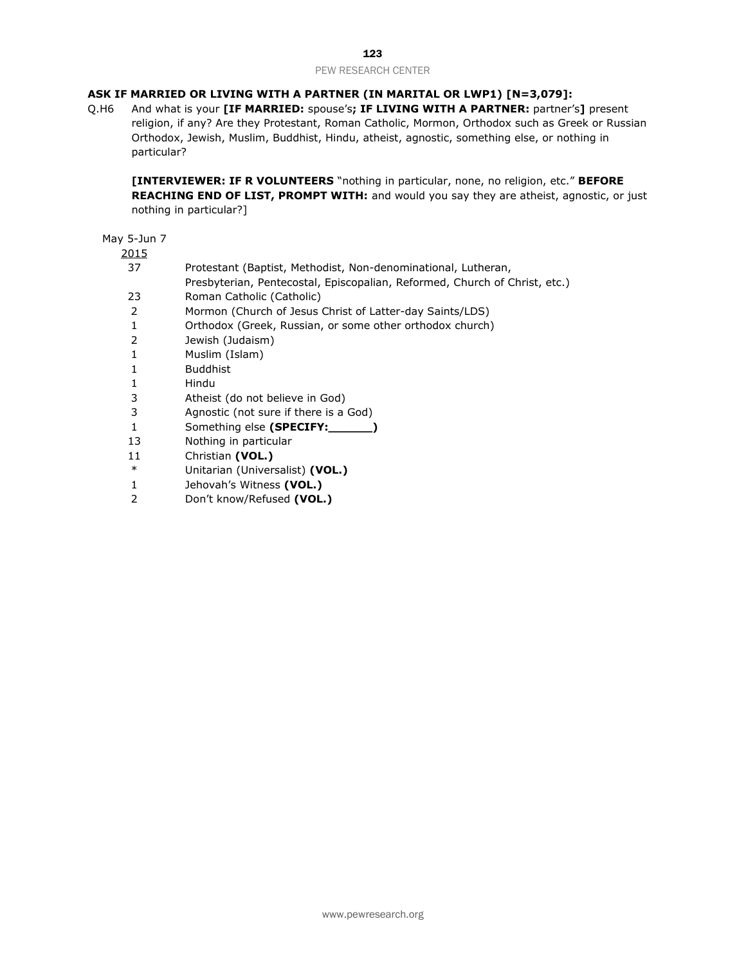# **ASK IF MARRIED OR LIVING WITH A PARTNER (IN MARITAL OR LWP1) [N=3,079]:**

Q.H6 And what is your **[IF MARRIED:** spouse's**; IF LIVING WITH A PARTNER:** partner's**]** present religion, if any? Are they Protestant, Roman Catholic, Mormon, Orthodox such as Greek or Russian Orthodox, Jewish, Muslim, Buddhist, Hindu, atheist, agnostic, something else, or nothing in particular?

**[INTERVIEWER: IF R VOLUNTEERS** "nothing in particular, none, no religion, etc." **BEFORE REACHING END OF LIST, PROMPT WITH:** and would you say they are atheist, agnostic, or just nothing in particular?]

| $\sim$ |                                                                            |
|--------|----------------------------------------------------------------------------|
| 37     | Protestant (Baptist, Methodist, Non-denominational, Lutheran,              |
|        | Presbyterian, Pentecostal, Episcopalian, Reformed, Church of Christ, etc.) |
| 23     | Roman Catholic (Catholic)                                                  |
| 2      | Mormon (Church of Jesus Christ of Latter-day Saints/LDS)                   |
| 1      | Orthodox (Greek, Russian, or some other orthodox church)                   |
| 2      | Jewish (Judaism)                                                           |
| 1      | Muslim (Islam)                                                             |
| 1      | <b>Buddhist</b>                                                            |
| 1      | Hindu                                                                      |
| 3      | Atheist (do not believe in God)                                            |
| 3      | Agnostic (not sure if there is a God)                                      |
| 1      | Something else (SPECIFY:                                                   |
| 13     | Nothing in particular                                                      |
| 11     | Christian (VOL.)                                                           |
| $\ast$ | Unitarian (Universalist) (VOL.)                                            |
|        |                                                                            |

- 1 Jehovah's Witness **(VOL.)**
- 2 Don't know/Refused **(VOL.)**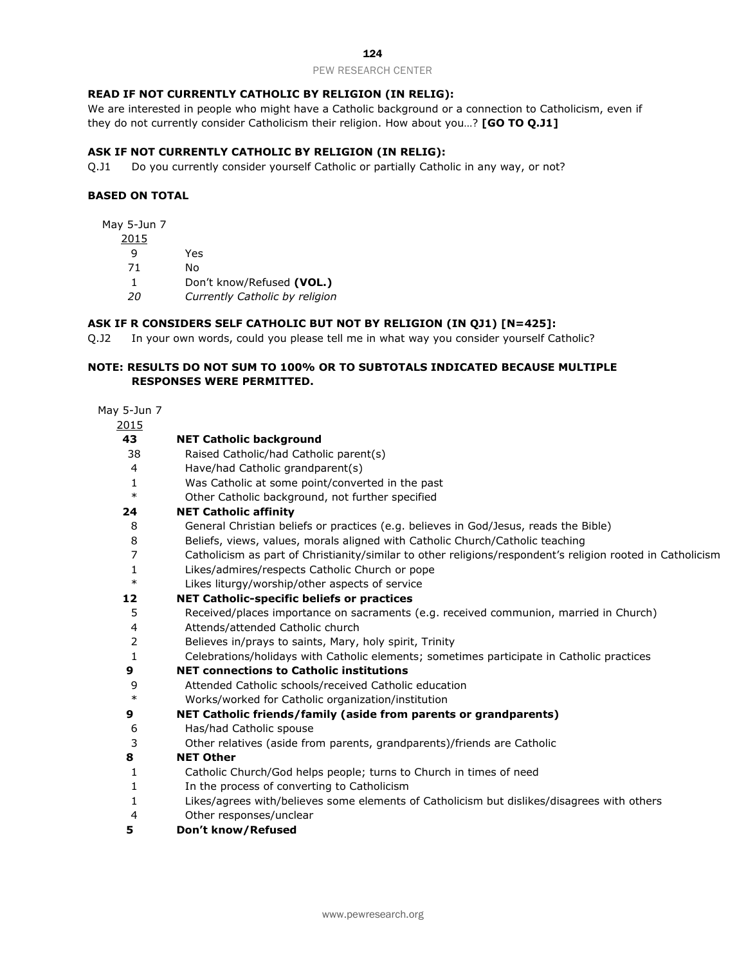# **READ IF NOT CURRENTLY CATHOLIC BY RELIGION (IN RELIG):**

We are interested in people who might have a Catholic background or a connection to Catholicism, even if they do not currently consider Catholicism their religion. How about you…? **[GO TO Q.J1]**

# **ASK IF NOT CURRENTLY CATHOLIC BY RELIGION (IN RELIG):**

Q.J1 Do you currently consider yourself Catholic or partially Catholic in any way, or not?

# **BASED ON TOTAL**

May 5-Jun 7

Yes

No

Don't know/Refused **(VOL.)**

*Currently Catholic by religion*

## **ASK IF R CONSIDERS SELF CATHOLIC BUT NOT BY RELIGION (IN QJ1) [N=425]:**

Q.J2 In your own words, could you please tell me in what way you consider yourself Catholic?

## **NOTE: RESULTS DO NOT SUM TO 100% OR TO SUBTOTALS INDICATED BECAUSE MULTIPLE RESPONSES WERE PERMITTED.**

| 2015   |                                                                                                            |
|--------|------------------------------------------------------------------------------------------------------------|
| 43     | <b>NET Catholic background</b>                                                                             |
| 38     | Raised Catholic/had Catholic parent(s)                                                                     |
| 4      | Have/had Catholic grandparent(s)                                                                           |
| 1      | Was Catholic at some point/converted in the past                                                           |
| $\ast$ | Other Catholic background, not further specified                                                           |
| 24     | <b>NET Catholic affinity</b>                                                                               |
| 8      | General Christian beliefs or practices (e.g. believes in God/Jesus, reads the Bible)                       |
| 8      | Beliefs, views, values, morals aligned with Catholic Church/Catholic teaching                              |
| 7      | Catholicism as part of Christianity/similar to other religions/respondent's religion rooted in Catholicism |
| 1      | Likes/admires/respects Catholic Church or pope                                                             |
| $\ast$ | Likes liturgy/worship/other aspects of service                                                             |
| 12     | <b>NET Catholic-specific beliefs or practices</b>                                                          |
| 5      | Received/places importance on sacraments (e.g. received communion, married in Church)                      |
| 4      | Attends/attended Catholic church                                                                           |
|        | Believes in/prays to saints, Mary, holy spirit, Trinity                                                    |
| 1      | Celebrations/holidays with Catholic elements; sometimes participate in Catholic practices                  |
| 9      | <b>NET connections to Catholic institutions</b>                                                            |
| 9      | Attended Catholic schools/received Catholic education                                                      |
| $\ast$ | Works/worked for Catholic organization/institution                                                         |
| 9      | <b>NET Catholic friends/family (aside from parents or grandparents)</b>                                    |
| 6      | Has/had Catholic spouse                                                                                    |
| 3      | Other relatives (aside from parents, grandparents)/friends are Catholic                                    |
| 8      | <b>NET Other</b>                                                                                           |
| 1      | Catholic Church/God helps people; turns to Church in times of need                                         |
| 1      | In the process of converting to Catholicism                                                                |
| 1      | Likes/agrees with/believes some elements of Catholicism but dislikes/disagrees with others                 |
| 4      | Other responses/unclear                                                                                    |
| 5      | Don't know/Refused                                                                                         |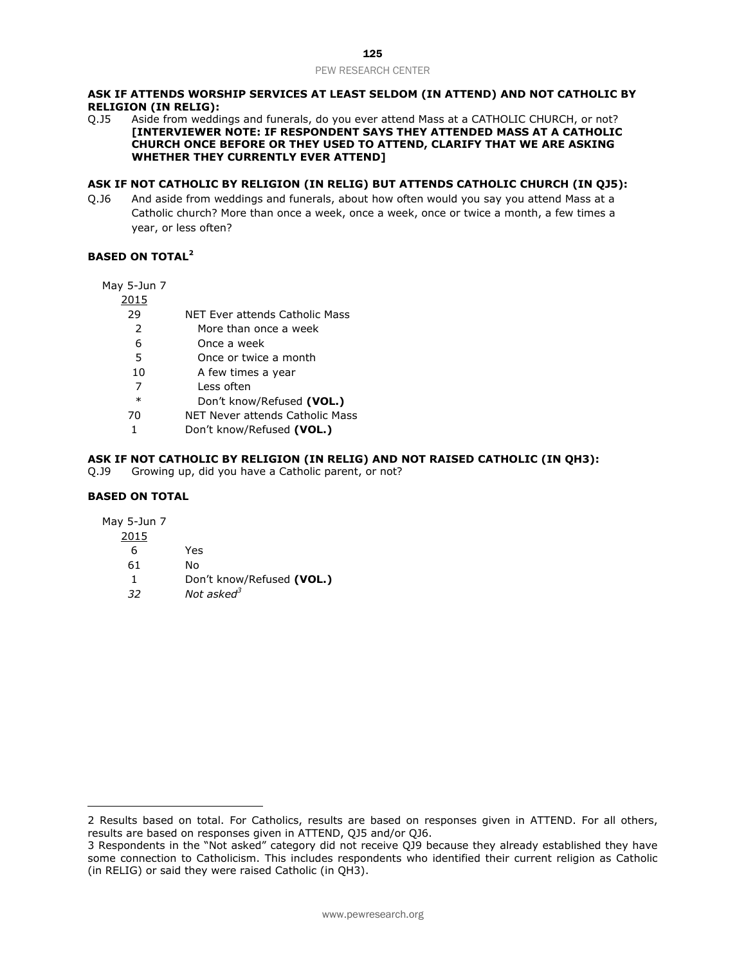#### **ASK IF ATTENDS WORSHIP SERVICES AT LEAST SELDOM (IN ATTEND) AND NOT CATHOLIC BY RELIGION (IN RELIG):**

Q.J5 Aside from weddings and funerals, do you ever attend Mass at a CATHOLIC CHURCH, or not? **[INTERVIEWER NOTE: IF RESPONDENT SAYS THEY ATTENDED MASS AT A CATHOLIC CHURCH ONCE BEFORE OR THEY USED TO ATTEND, CLARIFY THAT WE ARE ASKING WHETHER THEY CURRENTLY EVER ATTEND]**

#### **ASK IF NOT CATHOLIC BY RELIGION (IN RELIG) BUT ATTENDS CATHOLIC CHURCH (IN QJ5):**

Q.J6 And aside from weddings and funerals, about how often would you say you attend Mass at a Catholic church? More than once a week, once a week, once or twice a month, a few times a year, or less often?

# **BASED ON TOTAL<sup>2</sup>**

May 5-Jun 7

2015

- 29 NET Ever attends Catholic Mass
- 2 More than once a week
- 6 Once a week
- 5 Once or twice a month
- 10 A few times a year
- 7 Less often
- \* Don't know/Refused **(VOL.)**
- 70 NET Never attends Catholic Mass
- 1 Don't know/Refused **(VOL.)**

## **ASK IF NOT CATHOLIC BY RELIGION (IN RELIG) AND NOT RAISED CATHOLIC (IN QH3):**

Q.J9 Growing up, did you have a Catholic parent, or not?

#### **BASED ON TOTAL**

May 5-Jun 7

 $\overline{a}$ 

- 2015
	- 6 Yes
	- 61 No
	- 1 Don't know/Refused **(VOL.)**
	- *32 Not asked<sup>3</sup>*

<sup>2</sup> Results based on total. For Catholics, results are based on responses given in ATTEND. For all others, results are based on responses given in ATTEND, QJ5 and/or QJ6.

<sup>3</sup> Respondents in the "Not asked" category did not receive QJ9 because they already established they have some connection to Catholicism. This includes respondents who identified their current religion as Catholic (in RELIG) or said they were raised Catholic (in QH3).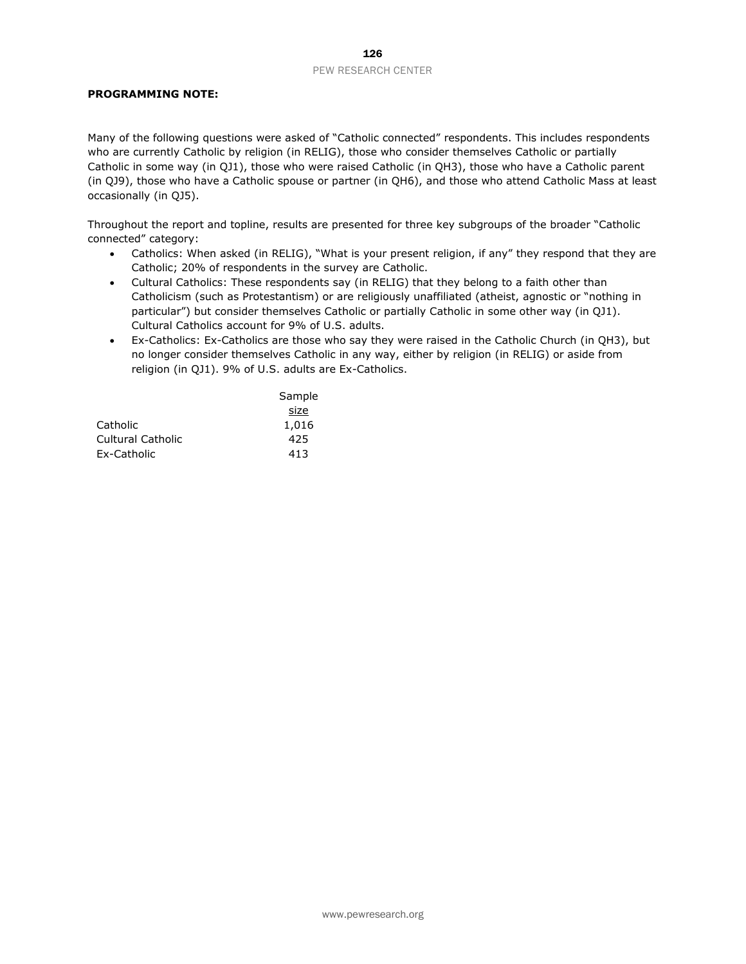## **PROGRAMMING NOTE:**

Many of the following questions were asked of "Catholic connected" respondents. This includes respondents who are currently Catholic by religion (in RELIG), those who consider themselves Catholic or partially Catholic in some way (in QJ1), those who were raised Catholic (in QH3), those who have a Catholic parent (in QJ9), those who have a Catholic spouse or partner (in QH6), and those who attend Catholic Mass at least occasionally (in QJ5).

Throughout the report and topline, results are presented for three key subgroups of the broader "Catholic connected" category:

- Catholics: When asked (in RELIG), "What is your present religion, if any" they respond that they are Catholic; 20% of respondents in the survey are Catholic.
- Cultural Catholics: These respondents say (in RELIG) that they belong to a faith other than Catholicism (such as Protestantism) or are religiously unaffiliated (atheist, agnostic or "nothing in particular") but consider themselves Catholic or partially Catholic in some other way (in QJ1). Cultural Catholics account for 9% of U.S. adults.
- Ex-Catholics: Ex-Catholics are those who say they were raised in the Catholic Church (in QH3), but no longer consider themselves Catholic in any way, either by religion (in RELIG) or aside from religion (in QJ1). 9% of U.S. adults are Ex-Catholics.

|                   | Sample |
|-------------------|--------|
|                   | size   |
| Catholic          | 1,016  |
| Cultural Catholic | 425    |
| Ex-Catholic       | 413    |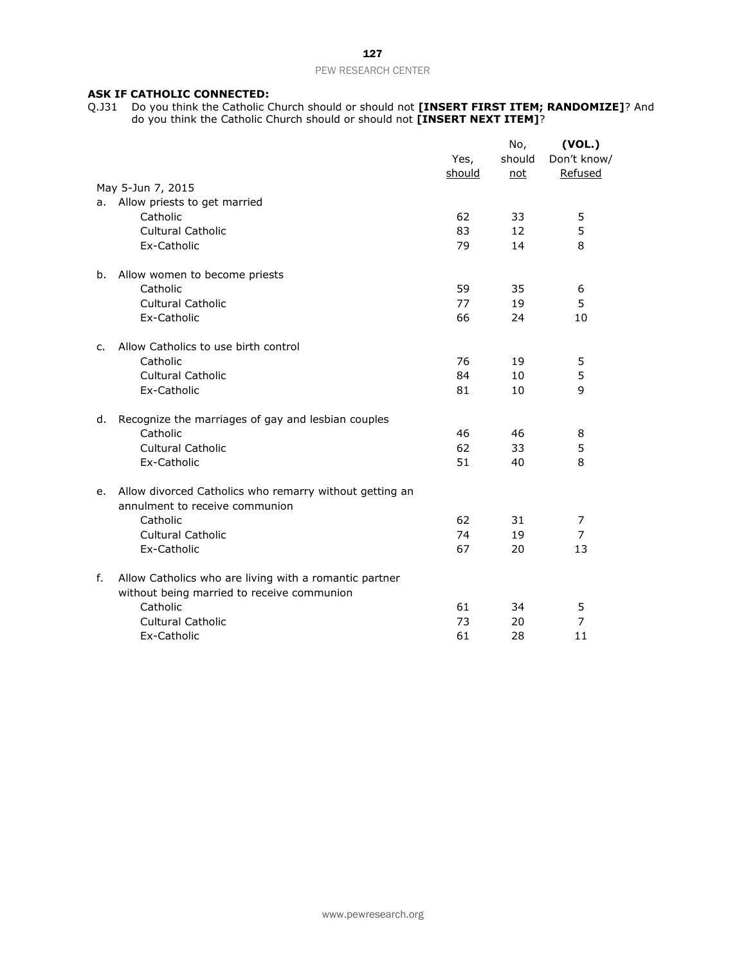## **ASK IF CATHOLIC CONNECTED:**

Q.J31 Do you think the Catholic Church should or should not **[INSERT FIRST ITEM; RANDOMIZE]**? And do you think the Catholic Church should or should not **[INSERT NEXT ITEM]**?

|    |                                                                                           |        | No,    | (VOL.)         |
|----|-------------------------------------------------------------------------------------------|--------|--------|----------------|
|    |                                                                                           | Yes,   | should | Don't know/    |
|    |                                                                                           | should | not    | Refused        |
|    | May 5-Jun 7, 2015                                                                         |        |        |                |
| а. | Allow priests to get married                                                              |        |        |                |
|    | Catholic                                                                                  | 62     | 33     | 5              |
|    | <b>Cultural Catholic</b>                                                                  | 83     | 12     | 5              |
|    | Ex-Catholic                                                                               | 79     | 14     | 8              |
| b. | Allow women to become priests                                                             |        |        |                |
|    | Catholic                                                                                  | 59     | 35     | 6              |
|    | Cultural Catholic                                                                         | 77     | 19     | 5              |
|    | Ex-Catholic                                                                               | 66     | 24     | 10             |
| c. | Allow Catholics to use birth control                                                      |        |        |                |
|    | Catholic                                                                                  | 76     | 19     | 5              |
|    | <b>Cultural Catholic</b>                                                                  | 84     | 10     | 5              |
|    | Ex-Catholic                                                                               | 81     | 10     | 9              |
| d. | Recognize the marriages of gay and lesbian couples                                        |        |        |                |
|    | Catholic                                                                                  | 46     | 46     | 8              |
|    | <b>Cultural Catholic</b>                                                                  | 62     | 33     | 5              |
|    | Ex-Catholic                                                                               | 51     | 40     | 8              |
| e. | Allow divorced Catholics who remarry without getting an<br>annulment to receive communion |        |        |                |
|    | Catholic                                                                                  | 62     | 31     | 7              |
|    | Cultural Catholic                                                                         | 74     | 19     | $\overline{7}$ |
|    | Ex-Catholic                                                                               | 67     | 20     | 13             |
| f. | Allow Catholics who are living with a romantic partner                                    |        |        |                |
|    | without being married to receive communion                                                |        |        |                |
|    | Catholic                                                                                  | 61     | 34     | 5              |
|    | <b>Cultural Catholic</b>                                                                  | 73     | 20     | 7              |
|    | Ex-Catholic                                                                               | 61     | 28     | 11             |
|    |                                                                                           |        |        |                |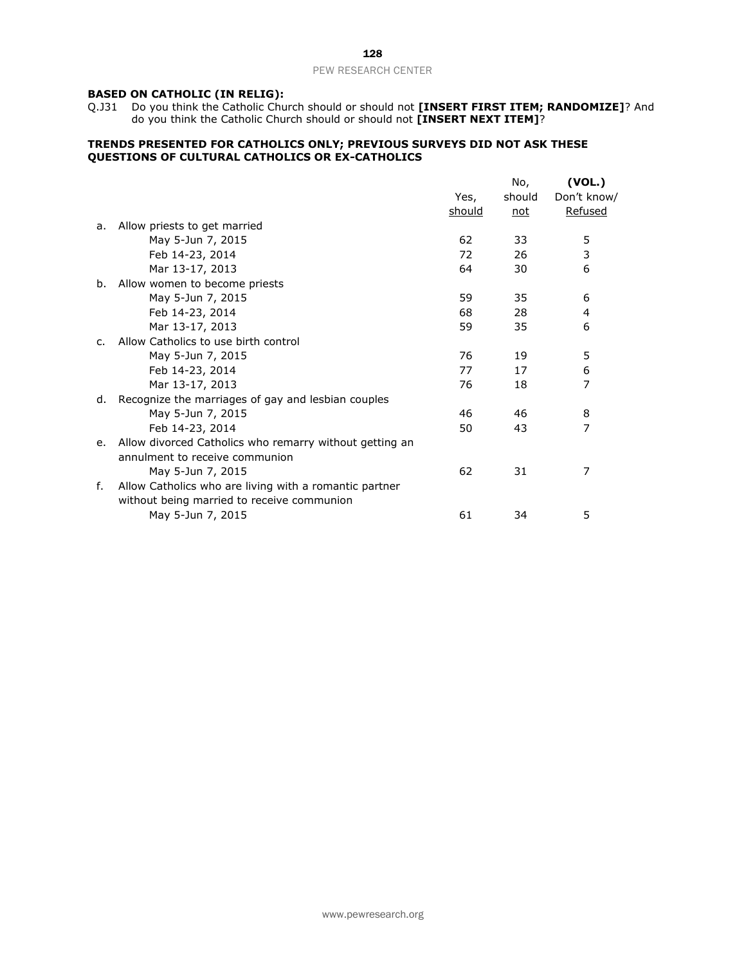## **BASED ON CATHOLIC (IN RELIG):**

Q.J31 Do you think the Catholic Church should or should not **[INSERT FIRST ITEM; RANDOMIZE]**? And do you think the Catholic Church should or should not **[INSERT NEXT ITEM]**?

#### **TRENDS PRESENTED FOR CATHOLICS ONLY; PREVIOUS SURVEYS DID NOT ASK THESE QUESTIONS OF CULTURAL CATHOLICS OR EX-CATHOLICS**

|    |                                                         |        | No,    | (VOL.)      |
|----|---------------------------------------------------------|--------|--------|-------------|
|    |                                                         | Yes,   | should | Don't know/ |
|    |                                                         | should | not    | Refused     |
| a. | Allow priests to get married                            |        |        |             |
|    | May 5-Jun 7, 2015                                       | 62     | 33     | 5           |
|    | Feb 14-23, 2014                                         | 72     | 26     | 3           |
|    | Mar 13-17, 2013                                         | 64     | 30     | 6           |
| b. | Allow women to become priests                           |        |        |             |
|    | May 5-Jun 7, 2015                                       | 59     | 35     | 6           |
|    | Feb 14-23, 2014                                         | 68     | 28     | 4           |
|    | Mar 13-17, 2013                                         | 59     | 35     | 6           |
| C. | Allow Catholics to use birth control                    |        |        |             |
|    | May 5-Jun 7, 2015                                       | 76     | 19     | 5           |
|    | Feb 14-23, 2014                                         | 77     | 17     | 6           |
|    | Mar 13-17, 2013                                         | 76     | 18     | 7           |
| d. | Recognize the marriages of gay and lesbian couples      |        |        |             |
|    | May 5-Jun 7, 2015                                       | 46     | 46     | 8           |
|    | Feb 14-23, 2014                                         | 50     | 43     | 7           |
| e. | Allow divorced Catholics who remarry without getting an |        |        |             |
|    | annulment to receive communion                          |        |        |             |
|    | May 5-Jun 7, 2015                                       | 62     | 31     | 7           |
| f. | Allow Catholics who are living with a romantic partner  |        |        |             |
|    | without being married to receive communion              |        |        |             |
|    | May 5-Jun 7, 2015                                       | 61     | 34     | 5           |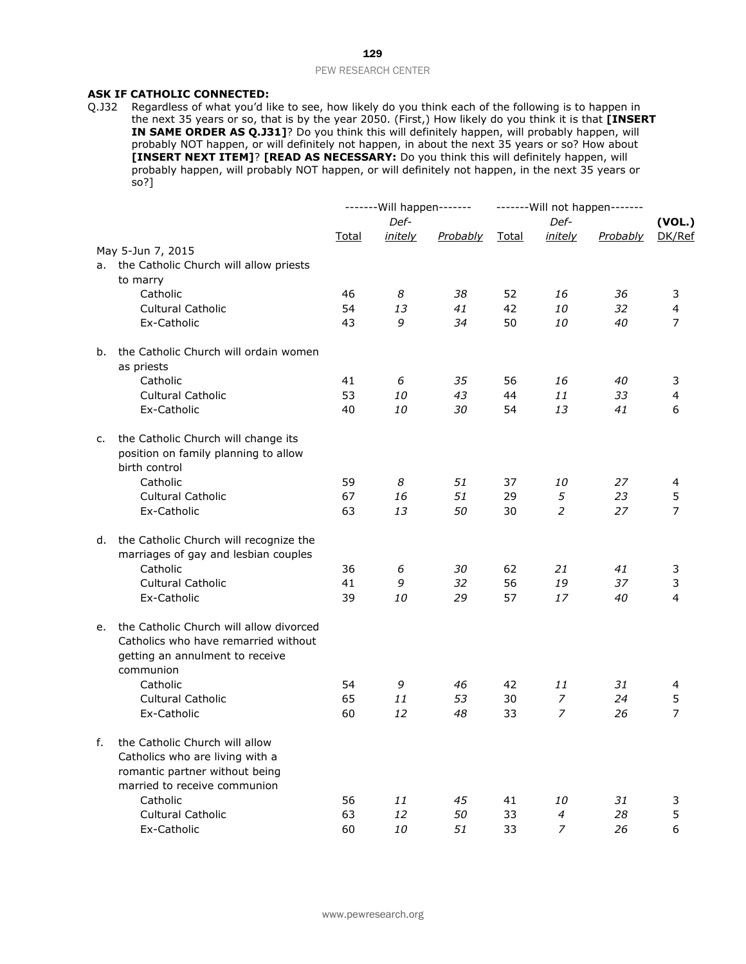# **ASK IF CATHOLIC CONNECTED:**

Q.J32 Regardless of what you'd like to see, how likely do you think each of the following is to happen in the next 35 years or so, that is by the year 2050. (First,) How likely do you think it is that **[INSERT IN SAME ORDER AS Q.J31]**? Do you think this will definitely happen, will probably happen, will probably NOT happen, or will definitely not happen, in about the next 35 years or so? How about **[INSERT NEXT ITEM]**? **[READ AS NECESSARY:** Do you think this will definitely happen, will probably happen, will probably NOT happen, or will definitely not happen, in the next 35 years or  $\frac{1}{5}$ o?]

|    |                                                                                                                                     |       | ------- Will happen------- |          | ------- Will not happen------- |                 |          |                  |
|----|-------------------------------------------------------------------------------------------------------------------------------------|-------|----------------------------|----------|--------------------------------|-----------------|----------|------------------|
|    |                                                                                                                                     | Total | Def-<br>initely            | Probably | Total                          | Def-<br>initely | Probably | (VOL.)<br>DK/Ref |
|    | May 5-Jun 7, 2015                                                                                                                   |       |                            |          |                                |                 |          |                  |
| а. | the Catholic Church will allow priests                                                                                              |       |                            |          |                                |                 |          |                  |
|    | to marry                                                                                                                            |       |                            |          |                                |                 |          |                  |
|    | Catholic                                                                                                                            | 46    | 8                          | 38       | 52                             | 16              | 36       | 3                |
|    | <b>Cultural Catholic</b>                                                                                                            | 54    | 13                         | 41       | 42                             | <i>10</i>       | 32       | $\overline{4}$   |
|    | Ex-Catholic                                                                                                                         | 43    | 9                          | 34       | 50                             | 10              | 40       | $\overline{7}$   |
| b. | the Catholic Church will ordain women<br>as priests                                                                                 |       |                            |          |                                |                 |          |                  |
|    | Catholic                                                                                                                            | 41    | 6                          | 35       | 56                             | 16              | 40       | 3                |
|    | Cultural Catholic                                                                                                                   | 53    | 10                         | 43       | 44                             | 11              | 33       | 4                |
|    | Ex-Catholic                                                                                                                         | 40    | <i>10</i>                  | 30       | 54                             | 13              | 41       | 6                |
| c. | the Catholic Church will change its<br>position on family planning to allow<br>birth control                                        |       |                            |          |                                |                 |          |                  |
|    | Catholic                                                                                                                            | 59    | 8                          | 51       | 37                             | 10              | 27       | 4                |
|    | Cultural Catholic                                                                                                                   | 67    | 16                         | 51       | 29                             | 5               | 23       | 5                |
|    | Ex-Catholic                                                                                                                         | 63    | 13                         | 50       | 30                             | 2               | 27       | $\overline{7}$   |
| d. | the Catholic Church will recognize the<br>marriages of gay and lesbian couples                                                      |       |                            |          |                                |                 |          |                  |
|    | Catholic                                                                                                                            | 36    | 6                          | 30       | 62                             | 21              | 41       | 3                |
|    | <b>Cultural Catholic</b>                                                                                                            | 41    | 9                          | 32       | 56                             | 19              | 37       | 3                |
|    | Ex-Catholic                                                                                                                         | 39    | 10                         | 29       | 57                             | 17              | 40       | $\overline{4}$   |
|    | e. the Catholic Church will allow divorced<br>Catholics who have remarried without<br>getting an annulment to receive<br>communion  |       |                            |          |                                |                 |          |                  |
|    | Catholic                                                                                                                            | 54    | 9                          | 46       | 42                             | 11              | 31       | 4                |
|    | Cultural Catholic                                                                                                                   | 65    | 11                         | 53       | 30                             | $\overline{z}$  | 24       | 5                |
|    | Ex-Catholic                                                                                                                         | 60    | 12                         | 48       | 33                             | $\overline{z}$  | 26       | 7                |
| f. | the Catholic Church will allow<br>Catholics who are living with a<br>romantic partner without being<br>married to receive communion |       |                            |          |                                |                 |          |                  |
|    | Catholic                                                                                                                            | 56    | 11                         | 45       | 41                             | 10              | 31       | 3                |
|    | Cultural Catholic                                                                                                                   | 63    | 12                         | 50       | 33                             | $\overline{4}$  | 28       | 5                |
|    | Ex-Catholic                                                                                                                         | 60    | 10                         | 51       | 33                             | $\overline{z}$  | 26       | 6                |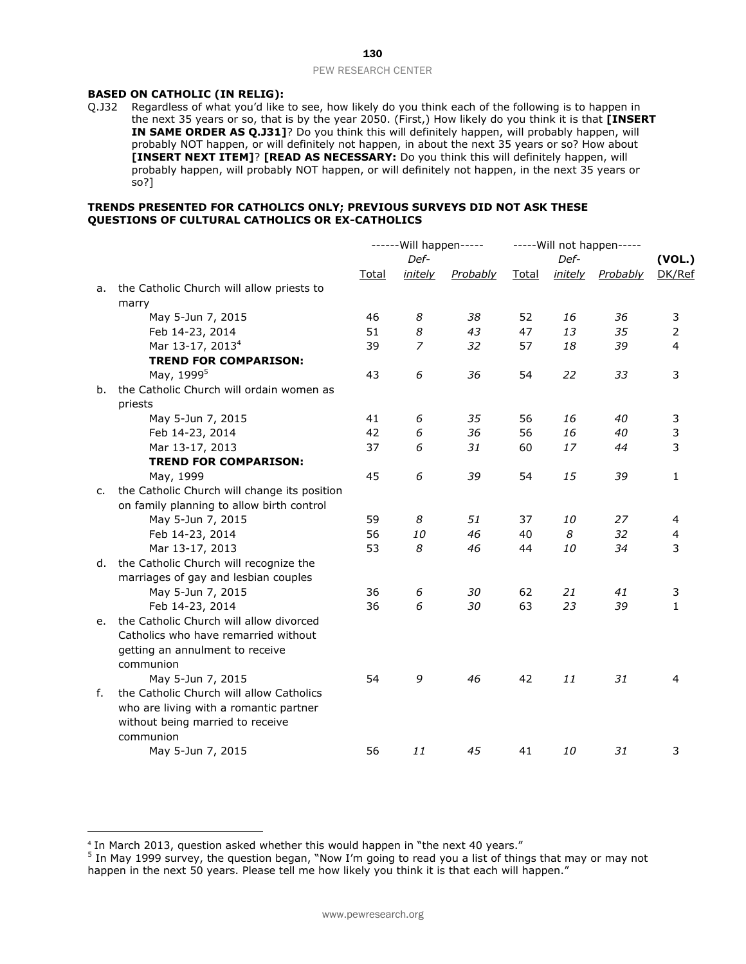## **BASED ON CATHOLIC (IN RELIG):**

Q.J32 Regardless of what you'd like to see, how likely do you think each of the following is to happen in the next 35 years or so, that is by the year 2050. (First,) How likely do you think it is that **[INSERT IN SAME ORDER AS Q.J31]**? Do you think this will definitely happen, will probably happen, will probably NOT happen, or will definitely not happen, in about the next 35 years or so? How about **[INSERT NEXT ITEM]**? **[READ AS NECESSARY:** Do you think this will definitely happen, will probably happen, will probably NOT happen, or will definitely not happen, in the next 35 years or so?]

#### **TRENDS PRESENTED FOR CATHOLICS ONLY; PREVIOUS SURVEYS DID NOT ASK THESE QUESTIONS OF CULTURAL CATHOLICS OR EX-CATHOLICS**

|    |                                              | ------ Will happen----- |                |                 | ----- Will not happen----- |                |                 |              |
|----|----------------------------------------------|-------------------------|----------------|-----------------|----------------------------|----------------|-----------------|--------------|
|    |                                              | Def-<br>Def-            |                |                 | (VOL.)                     |                |                 |              |
|    |                                              | <b>Total</b>            | <u>initely</u> | <b>Probably</b> | <b>Total</b>               | <u>initely</u> | <b>Probably</b> | DK/Ref       |
| a. | the Catholic Church will allow priests to    |                         |                |                 |                            |                |                 |              |
|    | marry                                        |                         |                |                 |                            |                |                 |              |
|    | May 5-Jun 7, 2015                            | 46                      | 8              | 38              | 52                         | 16             | 36              | 3            |
|    | Feb 14-23, 2014                              | 51                      | 8              | 43              | 47                         | 13             | 35              | 2            |
|    | Mar 13-17, 2013 <sup>4</sup>                 | 39                      | 7              | 32              | 57                         | 18             | 39              | 4            |
|    | <b>TREND FOR COMPARISON:</b>                 |                         |                |                 |                            |                |                 |              |
|    | May, 1999 <sup>5</sup>                       | 43                      | 6              | 36              | 54                         | 22             | 33              | 3            |
| b. | the Catholic Church will ordain women as     |                         |                |                 |                            |                |                 |              |
|    | priests                                      |                         |                |                 |                            |                |                 |              |
|    | May 5-Jun 7, 2015                            | 41                      | 6              | 35              | 56                         | 16             | 40              | 3            |
|    | Feb 14-23, 2014                              | 42                      | 6              | 36              | 56                         | 16             | 40              | 3            |
|    | Mar 13-17, 2013                              | 37                      | 6              | 31              | 60                         | 17             | 44              | 3            |
|    | <b>TREND FOR COMPARISON:</b>                 |                         |                |                 |                            |                |                 |              |
|    | May, 1999                                    | 45                      | 6              | 39              | 54                         | 15             | 39              | $\mathbf{1}$ |
| c. | the Catholic Church will change its position |                         |                |                 |                            |                |                 |              |
|    | on family planning to allow birth control    |                         |                |                 |                            |                |                 |              |
|    | May 5-Jun 7, 2015                            | 59                      | 8              | 51              | 37                         | 10             | 27              | 4            |
|    | Feb 14-23, 2014                              | 56                      | 10             | 46              | 40                         | 8              | 32              | 4            |
|    | Mar 13-17, 2013                              | 53                      | 8              | 46              | 44                         | 10             | 34              | 3            |
| d. | the Catholic Church will recognize the       |                         |                |                 |                            |                |                 |              |
|    | marriages of gay and lesbian couples         |                         |                |                 |                            |                |                 |              |
|    | May 5-Jun 7, 2015                            | 36                      | 6              | 30              | 62                         | 21             | 41              | 3            |
|    | Feb 14-23, 2014                              | 36                      | 6              | 30              | 63                         | 23             | 39              | $\mathbf{1}$ |
| е. | the Catholic Church will allow divorced      |                         |                |                 |                            |                |                 |              |
|    | Catholics who have remarried without         |                         |                |                 |                            |                |                 |              |
|    | getting an annulment to receive              |                         |                |                 |                            |                |                 |              |
|    | communion                                    |                         |                |                 |                            |                |                 |              |
|    | May 5-Jun 7, 2015                            | 54                      | 9              | 46              | 42                         | 11             | 31              | 4            |
| f. | the Catholic Church will allow Catholics     |                         |                |                 |                            |                |                 |              |
|    | who are living with a romantic partner       |                         |                |                 |                            |                |                 |              |
|    | without being married to receive             |                         |                |                 |                            |                |                 |              |
|    | communion                                    |                         |                |                 |                            |                |                 |              |
|    | May 5-Jun 7, 2015                            | 56                      | 11             | 45              | 41                         | 10             | 31              | 3            |

<sup>4</sup> In March 2013, question asked whether this would happen in "the next 40 years."

<sup>&</sup>lt;sup>5</sup> In May 1999 survey, the question began, "Now I'm going to read you a list of things that may or may not happen in the next 50 years. Please tell me how likely you think it is that each will happen."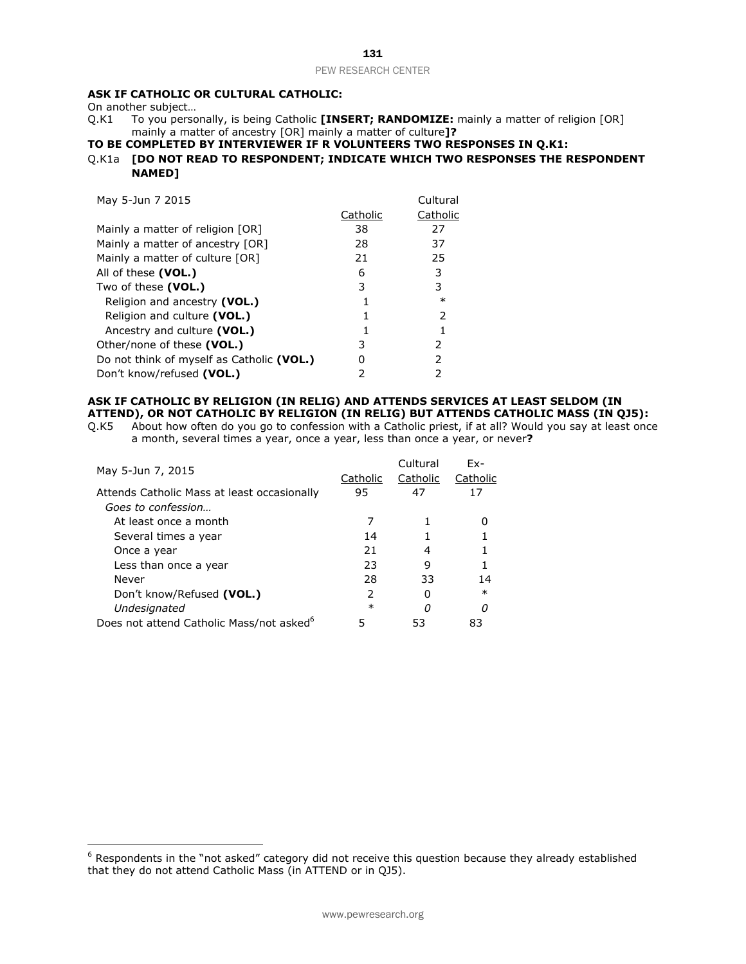# **ASK IF CATHOLIC OR CULTURAL CATHOLIC:**

On another subject...<br>Q.K1 To you perso To you personally, is being Catholic **[INSERT; RANDOMIZE:** mainly a matter of religion [OR] mainly a matter of ancestry [OR] mainly a matter of culture**]?**

## **TO BE COMPLETED BY INTERVIEWER IF R VOLUNTEERS TWO RESPONSES IN Q.K1:**

## Q.K1a **[DO NOT READ TO RESPONDENT; INDICATE WHICH TWO RESPONSES THE RESPONDENT NAMED]**

| May 5-Jun 7 2015                          |          | Cultural      |
|-------------------------------------------|----------|---------------|
|                                           | Catholic | Catholic      |
| Mainly a matter of religion [OR]          | 38       | 27            |
| Mainly a matter of ancestry [OR]          | 28       | 37            |
| Mainly a matter of culture $[OR]$         | 21       | 25            |
| All of these (VOL.)                       | 6        | 3             |
| Two of these (VOL.)                       | 3        | 3             |
| Religion and ancestry (VOL.)              |          | $\ast$        |
| Religion and culture (VOL.)               |          | $\mathcal{P}$ |
| Ancestry and culture (VOL.)               |          |               |
| Other/none of these (VOL.)                | 3        | 2             |
| Do not think of myself as Catholic (VOL.) | 0        | 2             |
| Don't know/refused (VOL.)                 |          | 2             |

# **ASK IF CATHOLIC BY RELIGION (IN RELIG) AND ATTENDS SERVICES AT LEAST SELDOM (IN**

**ATTEND), OR NOT CATHOLIC BY RELIGION (IN RELIG) BUT ATTENDS CATHOLIC MASS (IN QJ5):**<br>Q.K5 About how often do you go to confession with a Catholic priest, if at all? Would you say at least onc About how often do you go to confession with a Catholic priest, if at all? Would you say at least once a month, several times a year, once a year, less than once a year, or never**?**

| May 5-Jun 7, 2015                                    |          | Cultural | $Fx-$    |
|------------------------------------------------------|----------|----------|----------|
|                                                      | Catholic | Catholic | Catholic |
| Attends Catholic Mass at least occasionally          | 95       | 47       | 17       |
| Goes to confession                                   |          |          |          |
| At least once a month                                |          |          |          |
| Several times a year                                 | 14       |          |          |
| Once a year                                          | 21       | 4        |          |
| Less than once a year                                | 23       | 9        |          |
| Never                                                | 28       | 33       | 14       |
| Don't know/Refused (VOL.)                            | 2        |          | $\ast$   |
| Undesignated                                         | $\ast$   | Ω        | n        |
| Does not attend Catholic Mass/not asked <sup>6</sup> | 5        | 53       | 83       |

<sup>6</sup> Respondents in the "not asked" category did not receive this question because they already established that they do not attend Catholic Mass (in ATTEND or in QJ5).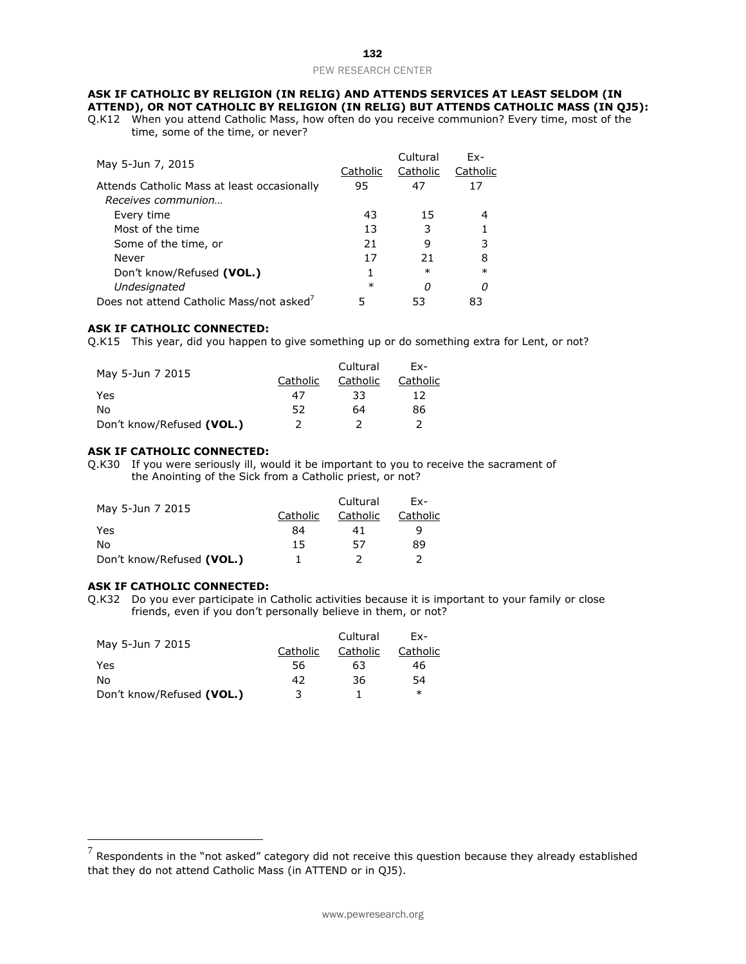#### **ASK IF CATHOLIC BY RELIGION (IN RELIG) AND ATTENDS SERVICES AT LEAST SELDOM (IN ATTEND), OR NOT CATHOLIC BY RELIGION (IN RELIG) BUT ATTENDS CATHOLIC MASS (IN QJ5):**

Q.K12 When you attend Catholic Mass, how often do you receive communion? Every time, most of the time, some of the time, or never?

|                                                      |          | Cultural | $Fx-$    |
|------------------------------------------------------|----------|----------|----------|
| May 5-Jun 7, 2015                                    | Catholic | Catholic | Catholic |
| Attends Catholic Mass at least occasionally          | 95       | 47       | 17       |
| Receives communion                                   |          |          |          |
| Every time                                           | 43       | 15       |          |
| Most of the time                                     | 13       | 3        |          |
| Some of the time, or                                 | 21       | 9        | 3        |
| Never                                                | 17       | 21       | 8        |
| Don't know/Refused (VOL.)                            |          | $\ast$   | $\ast$   |
| Undesignated                                         | $\ast$   | Ω        |          |
| Does not attend Catholic Mass/not asked <sup>7</sup> | 5        | 53       | 83       |
|                                                      |          |          |          |

#### **ASK IF CATHOLIC CONNECTED:**

Q.K15 This year, did you happen to give something up or do something extra for Lent, or not?

| May 5-Jun 7 2015          |          | Cultural | Fx-      |
|---------------------------|----------|----------|----------|
|                           | Catholic | Catholic | Catholic |
| Yes                       | 47       | 33       | 12       |
| N٥                        | 52       | 64       | 86       |
| Don't know/Refused (VOL.) | 2        |          |          |

#### **ASK IF CATHOLIC CONNECTED:**

Q.K30 If you were seriously ill, would it be important to you to receive the sacrament of the Anointing of the Sick from a Catholic priest, or not?

| May 5-Jun 7 2015          |          | Cultural | Fx-      |
|---------------------------|----------|----------|----------|
|                           | Catholic | Catholic | Catholic |
| Yes                       | 84       | 41       | Q        |
| N٥                        | 15       | 57       | 89       |
| Don't know/Refused (VOL.) |          |          |          |

#### **ASK IF CATHOLIC CONNECTED:**

Q.K32 Do you ever participate in Catholic activities because it is important to your family or close friends, even if you don't personally believe in them, or not?

| May 5-Jun 7 2015          |          | Cultural | Fx-      |
|---------------------------|----------|----------|----------|
|                           | Catholic | Catholic | Catholic |
| Yes                       | 56       | 63       | 46       |
| N٥                        | 42       | 36       | 54       |
| Don't know/Refused (VOL.) | 3        |          | $\ast$   |

 $^7$  Respondents in the "not asked" category did not receive this question because they already established that they do not attend Catholic Mass (in ATTEND or in QJ5).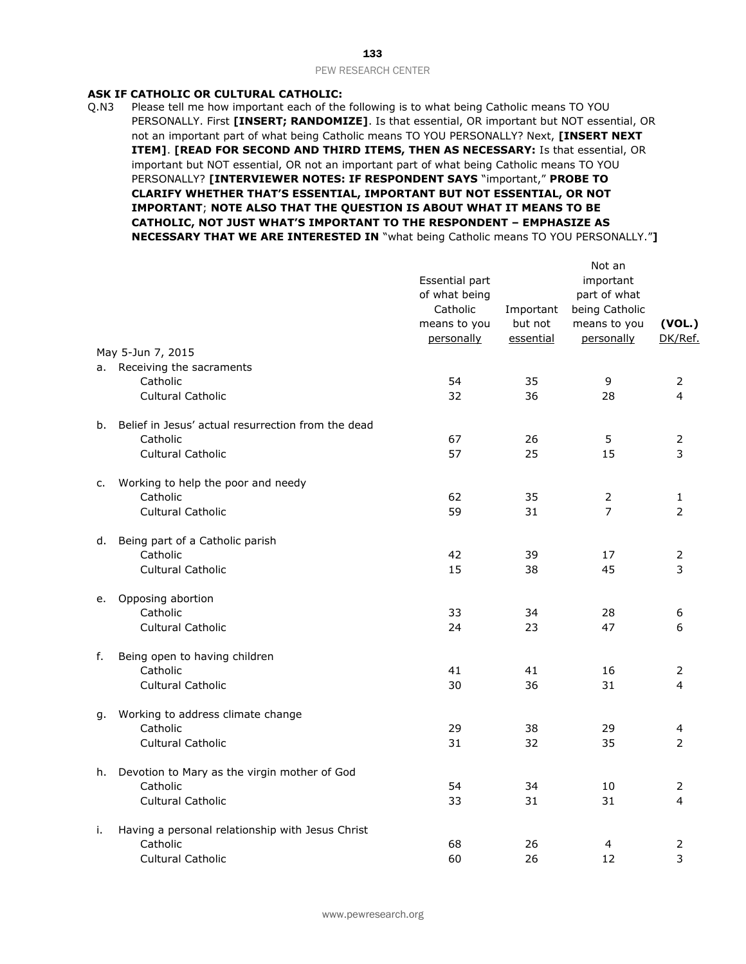## **ASK IF CATHOLIC OR CULTURAL CATHOLIC:**

Q.N3 Please tell me how important each of the following is to what being Catholic means TO YOU PERSONALLY. First **[INSERT; RANDOMIZE]**. Is that essential, OR important but NOT essential, OR not an important part of what being Catholic means TO YOU PERSONALLY? Next, **[INSERT NEXT ITEM]**. **[READ FOR SECOND AND THIRD ITEMS, THEN AS NECESSARY:** Is that essential, OR important but NOT essential, OR not an important part of what being Catholic means TO YOU PERSONALLY? **[INTERVIEWER NOTES: IF RESPONDENT SAYS** "important," **PROBE TO CLARIFY WHETHER THAT'S ESSENTIAL, IMPORTANT BUT NOT ESSENTIAL, OR NOT IMPORTANT**; **NOTE ALSO THAT THE QUESTION IS ABOUT WHAT IT MEANS TO BE CATHOLIC, NOT JUST WHAT'S IMPORTANT TO THE RESPONDENT – EMPHASIZE AS NECESSARY THAT WE ARE INTERESTED IN** "what being Catholic means TO YOU PERSONALLY."**]**

|    |                                                    | Essential part<br>of what being<br>Catholic | Important            | Not an<br>important<br>part of what<br>being Catholic |                   |
|----|----------------------------------------------------|---------------------------------------------|----------------------|-------------------------------------------------------|-------------------|
|    |                                                    | means to you<br>personally                  | but not<br>essential | means to you<br>personally                            | (VOL.)<br>DK/Ref. |
|    | May 5-Jun 7, 2015                                  |                                             |                      |                                                       |                   |
|    | a. Receiving the sacraments                        |                                             |                      |                                                       |                   |
|    | Catholic<br><b>Cultural Catholic</b>               | 54<br>32                                    | 35<br>36             | 9<br>28                                               | 2<br>4            |
|    |                                                    |                                             |                      |                                                       |                   |
| b. | Belief in Jesus' actual resurrection from the dead |                                             |                      |                                                       |                   |
|    | Catholic                                           | 67                                          | 26                   | 5                                                     | 2                 |
|    | <b>Cultural Catholic</b>                           | 57                                          | 25                   | 15                                                    | 3                 |
| c. | Working to help the poor and needy                 |                                             |                      |                                                       |                   |
|    | Catholic                                           | 62                                          | 35                   | $\overline{2}$                                        | 1                 |
|    | Cultural Catholic                                  | 59                                          | 31                   | $\overline{7}$                                        | 2                 |
| d. | Being part of a Catholic parish                    |                                             |                      |                                                       |                   |
|    | Catholic                                           | 42                                          | 39                   | 17                                                    | 2                 |
|    | <b>Cultural Catholic</b>                           | 15                                          | 38                   | 45                                                    | 3                 |
| е. | Opposing abortion                                  |                                             |                      |                                                       |                   |
|    | Catholic                                           | 33                                          | 34                   | 28                                                    | 6                 |
|    | <b>Cultural Catholic</b>                           | 24                                          | 23                   | 47                                                    | 6                 |
|    |                                                    |                                             |                      |                                                       |                   |
| f. | Being open to having children<br>Catholic          | 41                                          | 41                   | 16                                                    | 2                 |
|    | <b>Cultural Catholic</b>                           | 30                                          | 36                   | 31                                                    | 4                 |
|    |                                                    |                                             |                      |                                                       |                   |
| g. | Working to address climate change                  |                                             |                      |                                                       |                   |
|    | Catholic<br><b>Cultural Catholic</b>               | 29<br>31                                    | 38<br>32             | 29<br>35                                              | 4<br>2            |
|    |                                                    |                                             |                      |                                                       |                   |
| h. | Devotion to Mary as the virgin mother of God       |                                             |                      |                                                       |                   |
|    | Catholic                                           | 54                                          | 34                   | 10                                                    | 2                 |
|    | <b>Cultural Catholic</b>                           | 33                                          | 31                   | 31                                                    | 4                 |
| i. | Having a personal relationship with Jesus Christ   |                                             |                      |                                                       |                   |
|    | Catholic                                           | 68                                          | 26                   | 4                                                     | 2                 |
|    | <b>Cultural Catholic</b>                           | 60                                          | 26                   | 12                                                    | 3                 |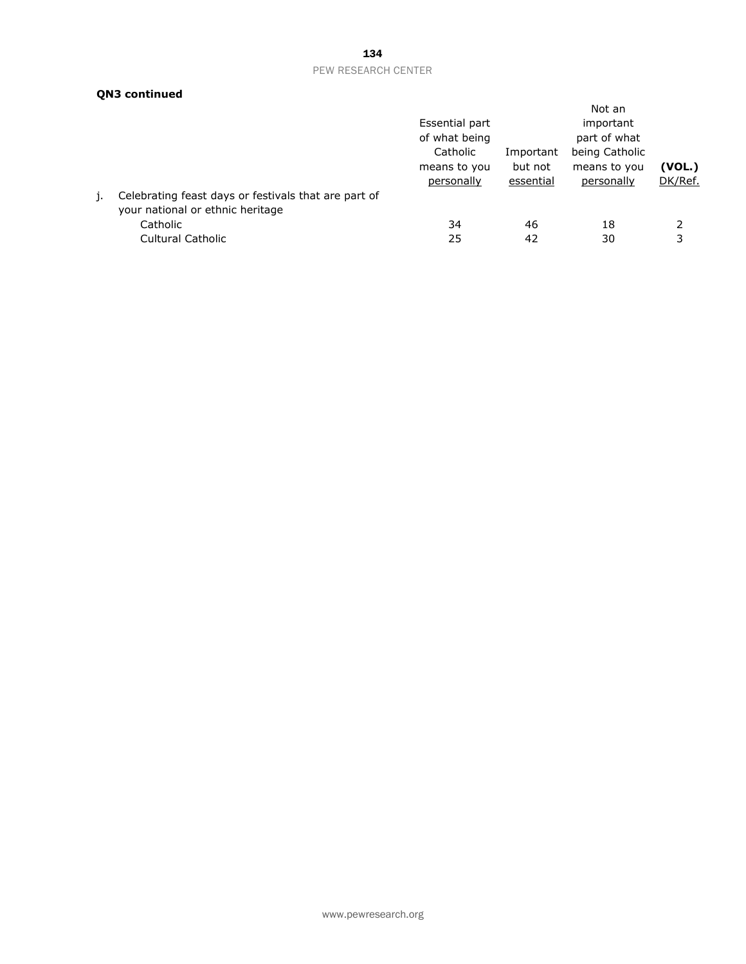# 134

## PEW RESEARCH CENTER

# **QN3 continued**

|                                                                                          |                |           | Not an         |         |
|------------------------------------------------------------------------------------------|----------------|-----------|----------------|---------|
|                                                                                          | Essential part |           | important      |         |
|                                                                                          | of what being  |           | part of what   |         |
|                                                                                          | Catholic       | Important | being Catholic |         |
|                                                                                          | means to you   | but not   | means to you   | (VOL.)  |
|                                                                                          | personally     | essential | personally     | DK/Ref. |
| Celebrating feast days or festivals that are part of<br>your national or ethnic heritage |                |           |                |         |
| Catholic                                                                                 | 34             | 46        | 18             | 2       |
| <b>Cultural Catholic</b>                                                                 | 25             | 42        | 30             | 3       |
|                                                                                          |                |           |                |         |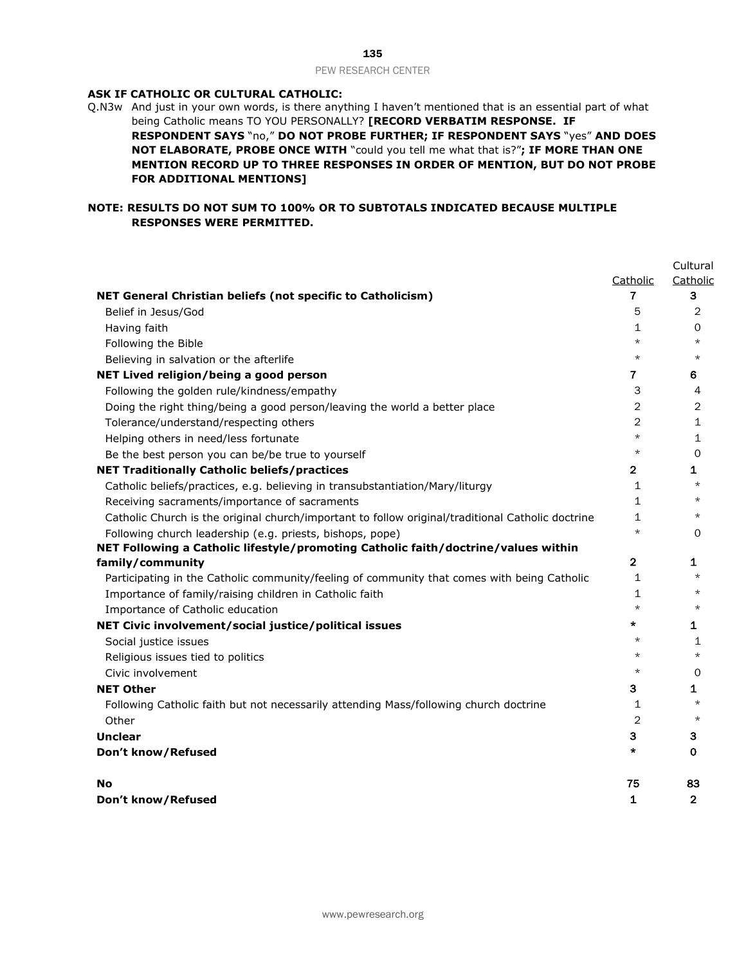#### **ASK IF CATHOLIC OR CULTURAL CATHOLIC:**

Q.N3w And just in your own words, is there anything I haven't mentioned that is an essential part of what being Catholic means TO YOU PERSONALLY? **[RECORD VERBATIM RESPONSE. IF RESPONDENT SAYS** "no," **DO NOT PROBE FURTHER; IF RESPONDENT SAYS** "yes" **AND DOES NOT ELABORATE, PROBE ONCE WITH** "could you tell me what that is?"**; IF MORE THAN ONE MENTION RECORD UP TO THREE RESPONSES IN ORDER OF MENTION, BUT DO NOT PROBE FOR ADDITIONAL MENTIONS]**

# **NOTE: RESULTS DO NOT SUM TO 100% OR TO SUBTOTALS INDICATED BECAUSE MULTIPLE RESPONSES WERE PERMITTED.**

|                                                                                                   |                | Cultural       |
|---------------------------------------------------------------------------------------------------|----------------|----------------|
|                                                                                                   | Catholic       | Catholic       |
| NET General Christian beliefs (not specific to Catholicism)                                       | 7              | 3              |
| Belief in Jesus/God                                                                               | 5              | 2              |
| Having faith                                                                                      | $\mathbf{1}$   | 0              |
| Following the Bible                                                                               | $\star$        | $\star$        |
| Believing in salvation or the afterlife                                                           | $\star$        | $\star$        |
| NET Lived religion/being a good person                                                            | $\mathbf{7}$   | 6              |
| Following the golden rule/kindness/empathy                                                        | 3              | 4              |
| Doing the right thing/being a good person/leaving the world a better place                        | 2              | $\overline{c}$ |
| Tolerance/understand/respecting others                                                            | $\overline{2}$ | $\mathbf{1}$   |
| Helping others in need/less fortunate                                                             | $\star$        | $\mathbf{1}$   |
| Be the best person you can be/be true to yourself                                                 | $\star$        | 0              |
| <b>NET Traditionally Catholic beliefs/practices</b>                                               | $\overline{2}$ | 1              |
| Catholic beliefs/practices, e.g. believing in transubstantiation/Mary/liturgy                     | $\mathbf{1}$   | $\star$        |
| Receiving sacraments/importance of sacraments                                                     | $\mathbf{1}$   | $\star$        |
| Catholic Church is the original church/important to follow original/traditional Catholic doctrine | $\mathbf{1}$   | $^\star$       |
| Following church leadership (e.g. priests, bishops, pope)                                         | $\star$        | 0              |
| NET Following a Catholic lifestyle/promoting Catholic faith/doctrine/values within                |                |                |
| family/community                                                                                  | $\mathbf{2}$   | 1              |
| Participating in the Catholic community/feeling of community that comes with being Catholic       | $\mathbf{1}$   | $\star$        |
| Importance of family/raising children in Catholic faith                                           | 1              | $\star$        |
| Importance of Catholic education                                                                  | $\star$        | $\star$        |
| NET Civic involvement/social justice/political issues                                             | $\star$        | 1              |
| Social justice issues                                                                             | $\star$        | 1              |
| Religious issues tied to politics                                                                 | $\star$        | $\star$        |
| Civic involvement                                                                                 | $\star$        | 0              |
| <b>NET Other</b>                                                                                  | 3              | 1              |
| Following Catholic faith but not necessarily attending Mass/following church doctrine             | 1              | $\star$        |
| Other                                                                                             | $\overline{2}$ | $\star$        |
| <b>Unclear</b>                                                                                    | 3              | з              |
| Don't know/Refused                                                                                | $\star$        | 0              |
| No                                                                                                | 75             | 83             |
| Don't know/Refused                                                                                | 1              | $\overline{2}$ |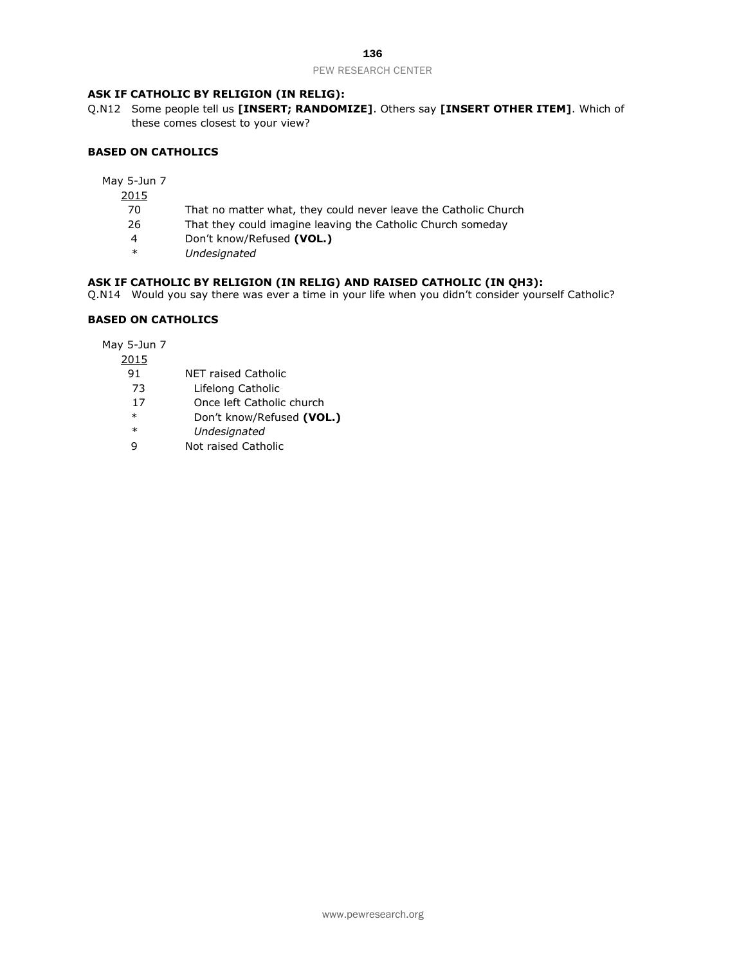# **ASK IF CATHOLIC BY RELIGION (IN RELIG):**

Q.N12 Some people tell us **[INSERT; RANDOMIZE]**. Others say **[INSERT OTHER ITEM]**. Which of these comes closest to your view?

## **BASED ON CATHOLICS**

May 5-Jun 7

- 2015
- 70 That no matter what, they could never leave the Catholic Church
- 26 That they could imagine leaving the Catholic Church someday
- 4 Don't know/Refused **(VOL.)**
- *\* Undesignated*

# **ASK IF CATHOLIC BY RELIGION (IN RELIG) AND RAISED CATHOLIC (IN QH3):**

Q.N14 Would you say there was ever a time in your life when you didn't consider yourself Catholic?

# **BASED ON CATHOLICS**

- 2015
	- 91 NET raised Catholic
	- 73 Lifelong Catholic
	- 17 Once left Catholic church
	- \* Don't know/Refused **(VOL.)**
	- *\* Undesignated*
	- 9 Not raised Catholic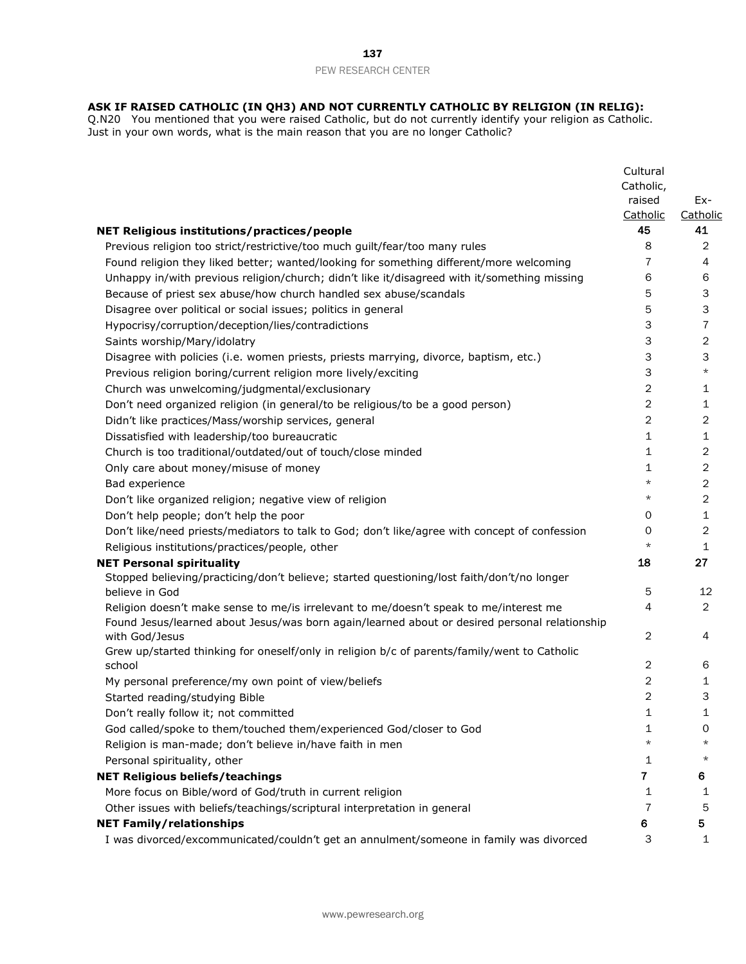#### **ASK IF RAISED CATHOLIC (IN QH3) AND NOT CURRENTLY CATHOLIC BY RELIGION (IN RELIG):**

Q.N20 You mentioned that you were raised Catholic, but do not currently identify your religion as Catholic. Just in your own words, what is the main reason that you are no longer Catholic?

|                                                                                               | Cultural       |                |
|-----------------------------------------------------------------------------------------------|----------------|----------------|
|                                                                                               | Catholic,      |                |
|                                                                                               | raised         | Ex-            |
|                                                                                               | Catholic       | Catholic       |
| <b>NET Religious institutions/practices/people</b>                                            | 45             | 41             |
| Previous religion too strict/restrictive/too much guilt/fear/too many rules                   | 8              | 2              |
| Found religion they liked better; wanted/looking for something different/more welcoming       | $\overline{7}$ | 4              |
| Unhappy in/with previous religion/church; didn't like it/disagreed with it/something missing  | 6              | 6              |
| Because of priest sex abuse/how church handled sex abuse/scandals                             | 5              | 3              |
| Disagree over political or social issues; politics in general                                 | 5              | 3              |
| Hypocrisy/corruption/deception/lies/contradictions                                            | 3              | $\overline{7}$ |
| Saints worship/Mary/idolatry                                                                  | 3              | $\overline{2}$ |
| Disagree with policies (i.e. women priests, priests marrying, divorce, baptism, etc.)         | 3              | 3              |
| Previous religion boring/current religion more lively/exciting                                | 3              | $^\star$       |
| Church was unwelcoming/judgmental/exclusionary                                                | $\mathbf{2}$   | 1              |
| Don't need organized religion (in general/to be religious/to be a good person)                | 2              | 1              |
| Didn't like practices/Mass/worship services, general                                          | 2              | 2              |
| Dissatisfied with leadership/too bureaucratic                                                 | 1              | 1              |
| Church is too traditional/outdated/out of touch/close minded                                  | 1              | $\overline{2}$ |
| Only care about money/misuse of money                                                         | 1              | $\overline{2}$ |
| Bad experience                                                                                | $\star$        | $\overline{2}$ |
| Don't like organized religion; negative view of religion                                      | $^\star$       | 2              |
| Don't help people; don't help the poor                                                        | 0              | 1              |
| Don't like/need priests/mediators to talk to God; don't like/agree with concept of confession | 0              | 2              |
| Religious institutions/practices/people, other                                                | $^\star$       | $\mathbf{1}$   |
| <b>NET Personal spirituality</b>                                                              | 18             | 27             |
| Stopped believing/practicing/don't believe; started questioning/lost faith/don't/no longer    |                |                |
| believe in God                                                                                | 5              | 12             |
| Religion doesn't make sense to me/is irrelevant to me/doesn't speak to me/interest me         | 4              | $\overline{2}$ |
| Found Jesus/learned about Jesus/was born again/learned about or desired personal relationship |                |                |
| with God/Jesus                                                                                | $\mathbf{2}$   | 4              |
| Grew up/started thinking for oneself/only in religion b/c of parents/family/went to Catholic  |                |                |
| school                                                                                        | $\mathbf{2}$   | 6              |
| My personal preference/my own point of view/beliefs                                           | $\mathbf{2}$   | 1              |
| Started reading/studying Bible                                                                | 2              | 3              |
| Don't really follow it; not committed                                                         | 1              | 1              |
| God called/spoke to them/touched them/experienced God/closer to God                           | 1              | 0              |
| Religion is man-made; don't believe in/have faith in men                                      | $^\star$       | $^\star$       |
| Personal spirituality, other                                                                  | 1              | $^\star$       |
| <b>NET Religious beliefs/teachings</b>                                                        | $\mathbf{7}$   | 6              |
| More focus on Bible/word of God/truth in current religion                                     | 1              | 1              |
| Other issues with beliefs/teachings/scriptural interpretation in general                      | $\overline{7}$ | 5              |
| <b>NET Family/relationships</b>                                                               | 6              | 5              |
| I was divorced/excommunicated/couldn't get an annulment/someone in family was divorced        | 3              | 1              |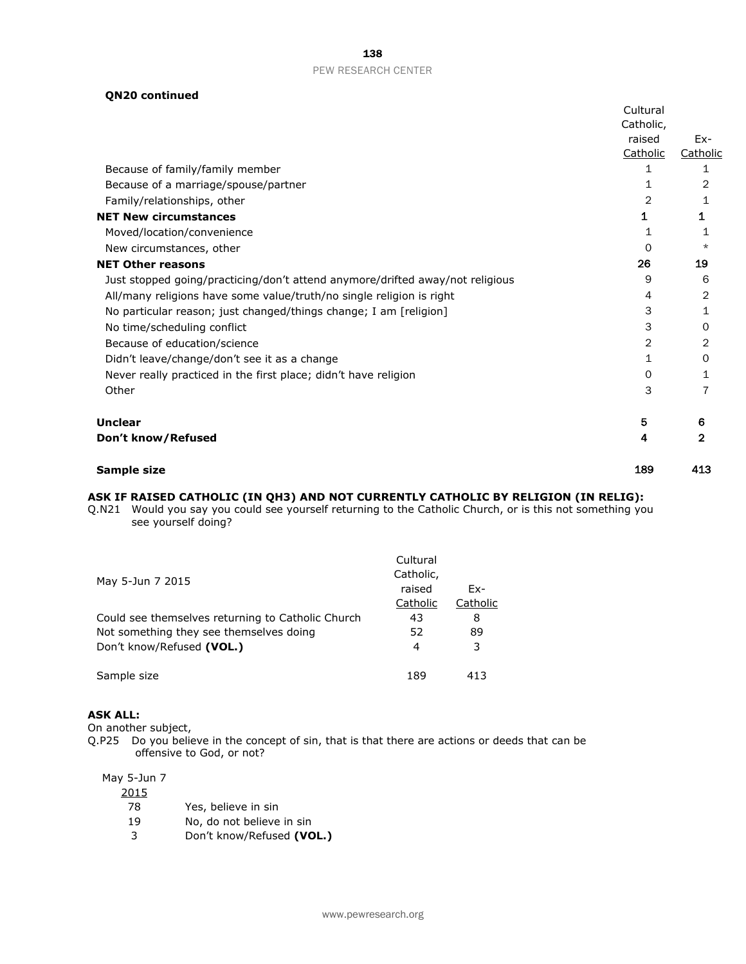| 138                 |  |
|---------------------|--|
| PEW RESEARCH CENTER |  |

# **QN20 continued**

|                                                                               | Cultural  |              |
|-------------------------------------------------------------------------------|-----------|--------------|
|                                                                               | Catholic, |              |
|                                                                               | raised    | Ex-          |
|                                                                               | Catholic  | Catholic     |
| Because of family/family member                                               | 1         | 1            |
| Because of a marriage/spouse/partner                                          | 1         | 2            |
| Family/relationships, other                                                   | 2         | 1            |
| <b>NET New circumstances</b>                                                  | 1         | 1            |
| Moved/location/convenience                                                    | 1         | 1            |
| New circumstances, other                                                      | 0         | $\star$      |
| <b>NET Other reasons</b>                                                      | 26        | 19           |
| Just stopped going/practicing/don't attend anymore/drifted away/not religious | 9         | 6            |
| All/many religions have some value/truth/no single religion is right          | 4         | 2            |
| No particular reason; just changed/things change; I am [religion]             | 3         | 1            |
| No time/scheduling conflict                                                   | 3         | 0            |
| Because of education/science                                                  | 2         | 2            |
| Didn't leave/change/don't see it as a change                                  | 1         | 0            |
| Never really practiced in the first place; didn't have religion               | 0         | 1            |
| Other                                                                         | 3         | 7            |
| <b>Unclear</b>                                                                | 5         | 6            |
| Don't know/Refused                                                            | 4         | $\mathbf{2}$ |
| Sample size                                                                   | 189       | 413          |

# **ASK IF RAISED CATHOLIC (IN QH3) AND NOT CURRENTLY CATHOLIC BY RELIGION (IN RELIG):**

Q.N21 Would you say you could see yourself returning to the Catholic Church, or is this not something you see yourself doing?

| May 5-Jun 7 2015                                  | Cultural<br>Catholic, |          |
|---------------------------------------------------|-----------------------|----------|
|                                                   | raised                | Fx-      |
|                                                   | Catholic              | Catholic |
| Could see themselves returning to Catholic Church | 43                    | 8        |
| Not something they see themselves doing           | 52                    | 89       |
| Don't know/Refused (VOL.)                         | 4                     | 3        |
| Sample size                                       | 189                   | 413      |

## **ASK ALL:**

On another subject,

Q.P25 Do you believe in the concept of sin, that is that there are actions or deeds that can be offensive to God, or not?

| 2015 |                           |
|------|---------------------------|
| 78   | Yes, believe in sin       |
| 19   | No, do not believe in sin |
| 3    | Don't know/Refused (VOL.) |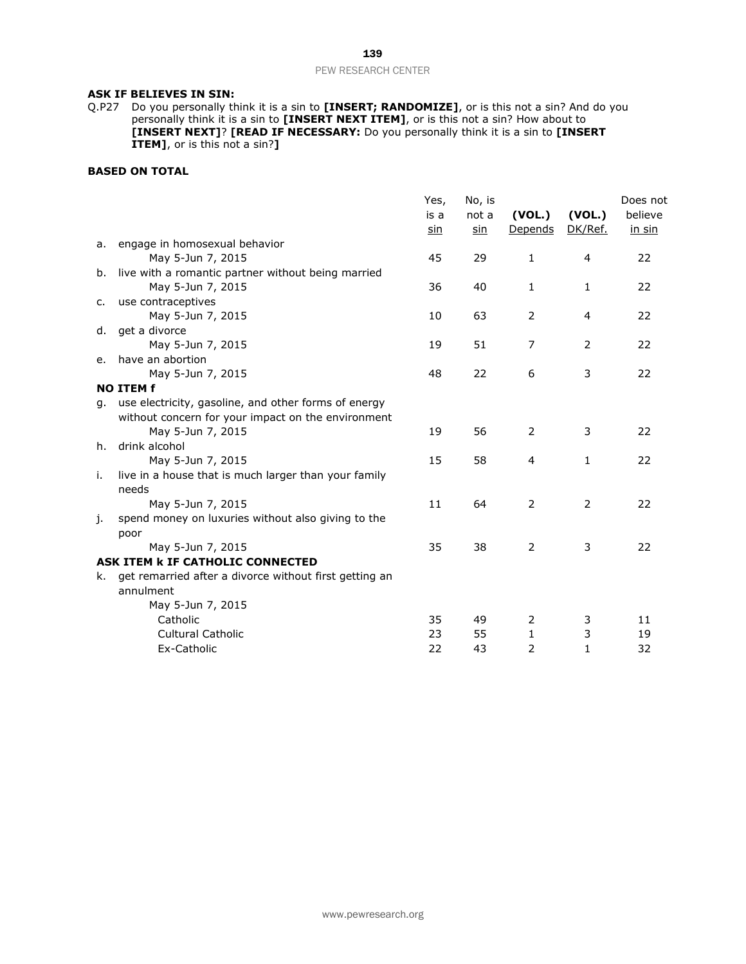## **ASK IF BELIEVES IN SIN:**

Q.P27 Do you personally think it is a sin to **[INSERT; RANDOMIZE]**, or is this not a sin? And do you personally think it is a sin to **[INSERT NEXT ITEM]**, or is this not a sin? How about to **[INSERT NEXT]**? **[READ IF NECESSARY:** Do you personally think it is a sin to **[INSERT ITEM]**, or is this not a sin?**]**

## **BASED ON TOTAL**

|    |                                                        | Yes, | No, is     |                |         | Does not |
|----|--------------------------------------------------------|------|------------|----------------|---------|----------|
|    |                                                        | is a | not a      | (VOL.)         | (VOL.)  | believe  |
|    |                                                        | sin  | <u>sin</u> | Depends        | DK/Ref. | in sin   |
| а. | engage in homosexual behavior                          |      |            |                |         |          |
|    | May 5-Jun 7, 2015                                      | 45   | 29         | $\mathbf{1}$   | 4       | 22       |
| b. | live with a romantic partner without being married     |      |            |                |         |          |
|    | May 5-Jun 7, 2015                                      | 36   | 40         | 1              | 1       | 22       |
| c. | use contraceptives                                     |      |            |                |         |          |
|    | May 5-Jun 7, 2015                                      | 10   | 63         | 2              | 4       | 22       |
| d. | get a divorce                                          |      |            |                |         |          |
|    | May 5-Jun 7, 2015                                      | 19   | 51         | 7              | 2       | 22       |
| е. | have an abortion                                       |      |            |                |         |          |
|    | May 5-Jun 7, 2015                                      | 48   | 22         | 6              | 3       | 22       |
|    | <b>NO ITEM f</b>                                       |      |            |                |         |          |
| q. | use electricity, gasoline, and other forms of energy   |      |            |                |         |          |
|    | without concern for your impact on the environment     |      |            |                |         |          |
|    | May 5-Jun 7, 2015                                      | 19   | 56         | 2              | 3       | 22       |
| h. | drink alcohol                                          |      |            |                |         |          |
|    | May 5-Jun 7, 2015                                      | 15   | 58         | 4              | 1       | 22       |
| i. | live in a house that is much larger than your family   |      |            |                |         |          |
|    | needs                                                  |      |            |                |         |          |
|    | May 5-Jun 7, 2015                                      | 11   | 64         | 2              | 2       | 22       |
| j. | spend money on luxuries without also giving to the     |      |            |                |         |          |
|    | poor                                                   |      |            |                |         |          |
|    | May 5-Jun 7, 2015                                      | 35   | 38         | 2              | 3       | 22       |
|    | ASK ITEM <b>k IF CATHOLIC CONNECTED</b>                |      |            |                |         |          |
| k. | get remarried after a divorce without first getting an |      |            |                |         |          |
|    | annulment                                              |      |            |                |         |          |
|    | May 5-Jun 7, 2015                                      |      |            |                |         |          |
|    | Catholic                                               | 35   | 49         | 2              | 3       | 11       |
|    | Cultural Catholic                                      | 23   | 55         | 1              | 3       | 19       |
|    | Ex-Catholic                                            | 22   | 43         | $\overline{2}$ | 1       | 32       |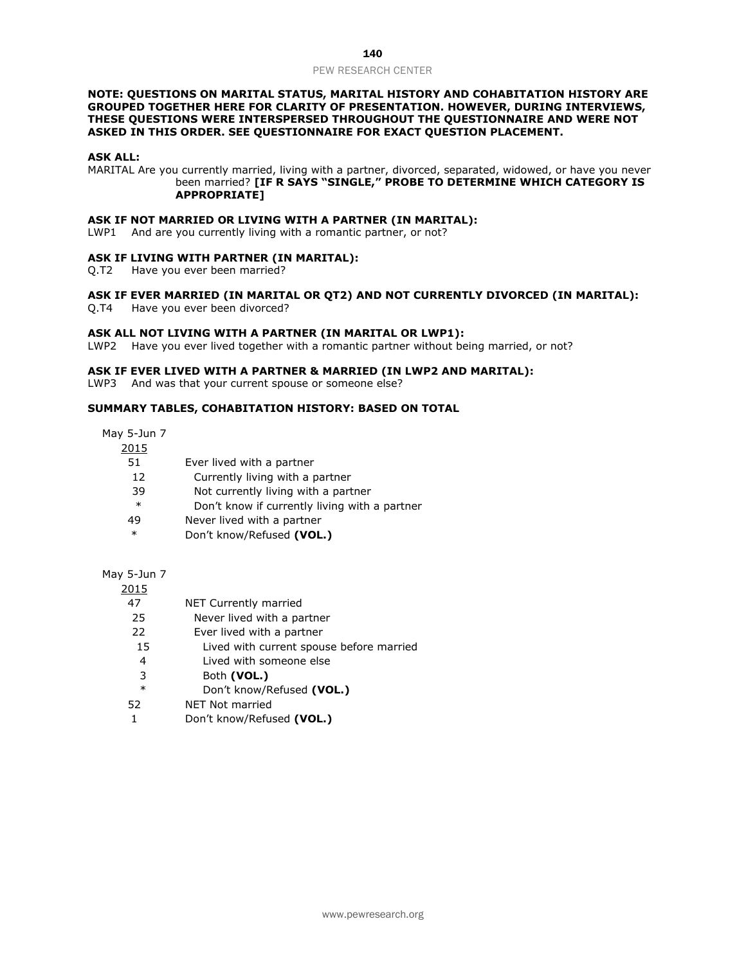#### **NOTE: QUESTIONS ON MARITAL STATUS, MARITAL HISTORY AND COHABITATION HISTORY ARE GROUPED TOGETHER HERE FOR CLARITY OF PRESENTATION. HOWEVER, DURING INTERVIEWS, THESE QUESTIONS WERE INTERSPERSED THROUGHOUT THE QUESTIONNAIRE AND WERE NOT ASKED IN THIS ORDER. SEE QUESTIONNAIRE FOR EXACT QUESTION PLACEMENT.**

#### **ASK ALL:**

MARITAL Are you currently married, living with a partner, divorced, separated, widowed, or have you never been married? **[IF R SAYS "SINGLE," PROBE TO DETERMINE WHICH CATEGORY IS APPROPRIATE]** 

#### **ASK IF NOT MARRIED OR LIVING WITH A PARTNER (IN MARITAL):**

LWP1 And are you currently living with a romantic partner, or not?

#### **ASK IF LIVING WITH PARTNER (IN MARITAL):**

Q.T2 Have you ever been married?

#### **ASK IF EVER MARRIED (IN MARITAL OR QT2) AND NOT CURRENTLY DIVORCED (IN MARITAL):**

Q.T4 Have you ever been divorced?

#### **ASK ALL NOT LIVING WITH A PARTNER (IN MARITAL OR LWP1):**

LWP2 Have you ever lived together with a romantic partner without being married, or not?

#### **ASK IF EVER LIVED WITH A PARTNER & MARRIED (IN LWP2 AND MARITAL):**

LWP3 And was that your current spouse or someone else?

## **SUMMARY TABLES, COHABITATION HISTORY: BASED ON TOTAL**

May 5-Jun 7

| , Juli <i>1</i> |                                               |
|-----------------|-----------------------------------------------|
| 2015            |                                               |
| 51              | Ever lived with a partner                     |
| 12              | Currently living with a partner               |
| 39              | Not currently living with a partner           |
| $\ast$          | Don't know if currently living with a partner |
| 49              | Never lived with a partner                    |
| $\ast$          | Don't know/Refused (VOL.)                     |

#### May 5-Jun 7

| 2015   |                                          |
|--------|------------------------------------------|
| 47     | NET Currently married                    |
| 25     | Never lived with a partner               |
| 22     | Ever lived with a partner                |
| 15     | Lived with current spouse before married |
| 4      | Lived with someone else                  |
| 3      | Both (VOL.)                              |
| $\ast$ | Don't know/Refused (VOL.)                |
| 52     | NET Not married                          |
|        |                                          |

1 Don't know/Refused **(VOL.)**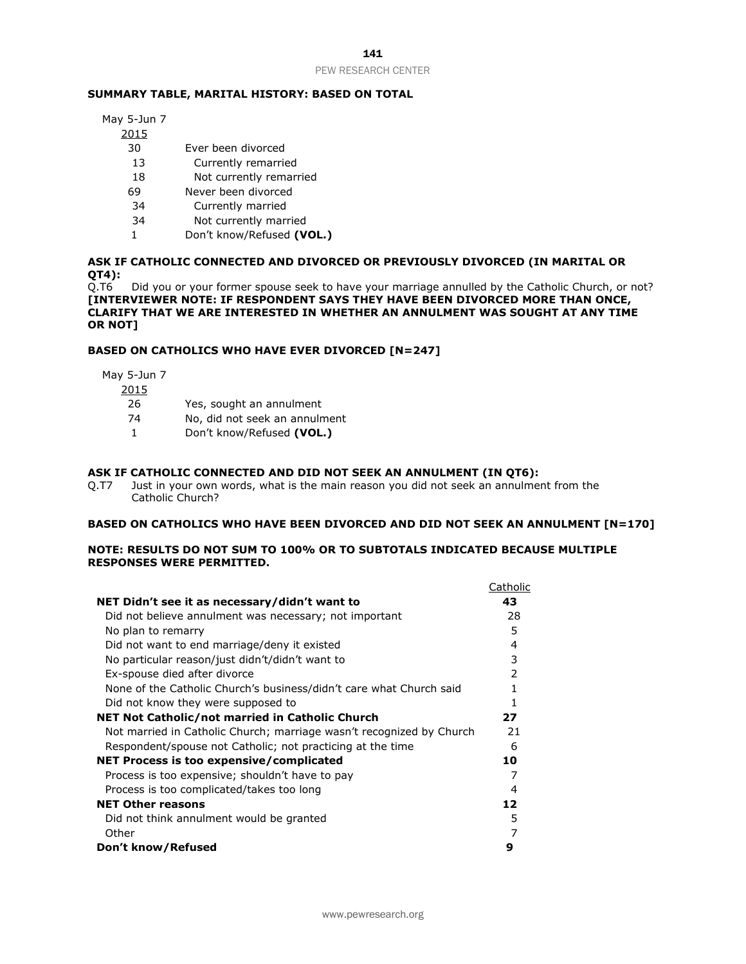### 141

#### PEW RESEARCH CENTER

#### **SUMMARY TABLE, MARITAL HISTORY: BASED ON TOTAL**

May 5-Jun 7

- 2015
	- 30 Ever been divorced
	- 13 Currently remarried
	- 18 Not currently remarried
	- 69 Never been divorced
	- 34 Currently married
	- 34 Not currently married
	- 1 Don't know/Refused **(VOL.)**

# **ASK IF CATHOLIC CONNECTED AND DIVORCED OR PREVIOUSLY DIVORCED (IN MARITAL OR QT4):**

Did you or your former spouse seek to have your marriage annulled by the Catholic Church, or not? **[INTERVIEWER NOTE: IF RESPONDENT SAYS THEY HAVE BEEN DIVORCED MORE THAN ONCE, CLARIFY THAT WE ARE INTERESTED IN WHETHER AN ANNULMENT WAS SOUGHT AT ANY TIME OR NOT]**

#### **BASED ON CATHOLICS WHO HAVE EVER DIVORCED [N=247]**

May 5-Jun 7

2015

- 26 Yes, sought an annulment
- 74 No, did not seek an annulment
- 1 Don't know/Refused **(VOL.)**

#### **ASK IF CATHOLIC CONNECTED AND DID NOT SEEK AN ANNULMENT (IN QT6):**

Q.T7 Just in your own words, what is the main reason you did not seek an annulment from the Catholic Church?

#### **BASED ON CATHOLICS WHO HAVE BEEN DIVORCED AND DID NOT SEEK AN ANNULMENT [N=170]**

#### **NOTE: RESULTS DO NOT SUM TO 100% OR TO SUBTOTALS INDICATED BECAUSE MULTIPLE RESPONSES WERE PERMITTED.**

|                                                                      | Catholic |
|----------------------------------------------------------------------|----------|
| NET Didn't see it as necessary/didn't want to                        | 43       |
| Did not believe annulment was necessary; not important               | 28       |
| No plan to remarry                                                   | 5        |
| Did not want to end marriage/deny it existed                         | 4        |
| No particular reason/just didn't/didn't want to                      | 3        |
| Ex-spouse died after divorce                                         | 2        |
| None of the Catholic Church's business/didn't care what Church said  | 1        |
| Did not know they were supposed to                                   | 1        |
| NET Not Catholic/not married in Catholic Church                      | 27       |
| Not married in Catholic Church; marriage wasn't recognized by Church | 21       |
| Respondent/spouse not Catholic; not practicing at the time           | 6        |
| NET Process is too expensive/complicated                             | 10       |
| Process is too expensive; shouldn't have to pay                      | 7        |
| Process is too complicated/takes too long                            | 4        |
| <b>NET Other reasons</b>                                             | 12       |
| Did not think annulment would be granted                             | 5        |
| Other                                                                | 7        |
| Don't know/Refused                                                   | 9        |